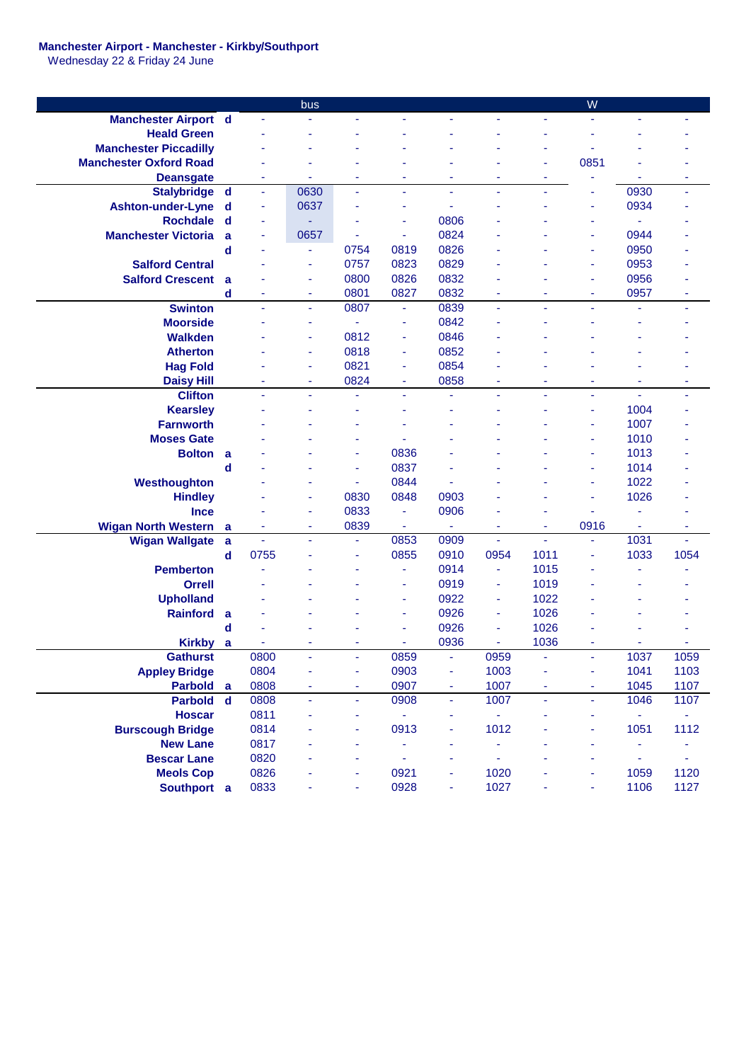## **Manchester Airport - Manchester - Kirkby/Southport**

Wednesday 22 & Friday 24 June

|                               |             |      | bus            |                |                |                |                |                | W    |                |      |
|-------------------------------|-------------|------|----------------|----------------|----------------|----------------|----------------|----------------|------|----------------|------|
| <b>Manchester Airport d</b>   |             |      |                |                |                |                |                |                |      |                |      |
| <b>Heald Green</b>            |             |      |                |                |                |                |                |                |      |                |      |
| <b>Manchester Piccadilly</b>  |             |      |                |                |                |                |                |                |      |                |      |
| <b>Manchester Oxford Road</b> |             |      |                |                |                |                |                | ٠              | 0851 |                |      |
| <b>Deansgate</b>              |             | ٠    | ٠              | ۰              | ÷              | ٠              | ٠              | ٠              |      | ÷              | ٠    |
| Stalybridge d                 |             | ä,   | 0630           |                | ä,             | ä,             | ä,             | $\blacksquare$ |      | 0930           | ٠    |
| <b>Ashton-under-Lyne</b>      | d           | ÷    | 0637           |                | ٠              | ä,             |                |                | ٠    | 0934           |      |
| <b>Rochdale</b>               | d           | ÷    |                |                | ä,             | 0806           |                |                |      |                |      |
| <b>Manchester Victoria</b>    | a           | ÷    | 0657           |                | Ξ              | 0824           |                |                |      | 0944           |      |
|                               | d           |      | ٠              | 0754           | 0819           | 0826           |                |                | ٠    | 0950           |      |
| <b>Salford Central</b>        |             |      | $\blacksquare$ | 0757           | 0823           | 0829           |                |                | ٠    | 0953           |      |
| <b>Salford Crescent</b>       | a           |      | ٠              | 0800           | 0826           | 0832           |                |                | ÷    | 0956           |      |
|                               | d           |      | ÷              | 0801           | 0827           | 0832           |                |                | ٠    | 0957           |      |
| <b>Swinton</b>                |             | ä,   | ä,             | 0807           | ÷              | 0839           | ä,             | ä,             | u.   | ä,             | ä,   |
| <b>Moorside</b>               |             |      | ÷              | ä,             | ä,             | 0842           |                |                |      |                |      |
| <b>Walkden</b>                |             |      | ÷              | 0812           | Ξ              | 0846           |                |                |      |                |      |
| <b>Atherton</b>               |             |      | ٠              | 0818           | Ξ              | 0852           |                |                |      |                |      |
| <b>Hag Fold</b>               |             |      | ×              | 0821           | Ξ              | 0854           |                |                |      |                |      |
| <b>Daisy Hill</b>             |             |      | ٠              | 0824           | ۰              | 0858           | ٠              |                |      | ۰              | ۰    |
| <b>Clifton</b>                |             | ä,   | ä,             |                | ä,             | ä,             | ä,             | ÷,             | ÷    | ä,             | ٠    |
| <b>Kearsley</b>               |             |      |                |                |                |                |                |                | ٠    | 1004           |      |
| <b>Farnworth</b>              |             |      |                |                |                |                |                |                | ä    | 1007           |      |
| <b>Moses Gate</b>             |             |      |                |                |                |                |                |                | ٠    | 1010           |      |
| <b>Bolton</b>                 | a           |      |                | ٠              | 0836           |                |                |                | ä    | 1013           |      |
|                               | d           |      |                | ٠              | 0837           |                |                |                | ÷    | 1014           |      |
| Westhoughton                  |             |      |                | ٠              | 0844           |                |                |                | ۰    | 1022           |      |
| <b>Hindley</b>                |             |      | ÷              | 0830           | 0848           | 0903           |                |                | ٠    | 1026           |      |
| <b>Ince</b>                   |             |      | ÷              | 0833           | ÷              | 0906           |                |                |      | ä,             |      |
| <b>Wigan North Western</b>    | a           | ÷    | ٠              | 0839           | Ξ              | $\blacksquare$ | ÷              | ٠              | 0916 | ÷              | ÷    |
| <b>Wigan Wallgate</b>         | a           | ä,   | $\blacksquare$ | $\blacksquare$ | 0853           | 0909           | ä,             | ä,             | ä,   | 1031           | ä,   |
|                               | $\mathbf d$ | 0755 |                | Ξ              | 0855           | 0910           | 0954           | 1011           | ä,   | 1033           | 1054 |
| <b>Pemberton</b>              |             |      |                |                | Ξ              | 0914           | $\blacksquare$ | 1015           |      |                |      |
| <b>Orrell</b>                 |             |      |                |                | $\blacksquare$ | 0919           | ÷              | 1019           |      |                |      |
| <b>Upholland</b>              |             |      |                |                | ٠              | 0922           | ä,             | 1022           |      |                |      |
| <b>Rainford</b>               | a           |      |                |                | ÷              | 0926           | ÷              | 1026           |      |                |      |
|                               | d           |      |                |                | ä,             | 0926           | ä,             | 1026           |      |                |      |
| <b>Kirkby</b>                 | a           |      |                |                | ÷              | 0936           | ä,             | 1036           |      |                |      |
| <b>Gathurst</b>               |             | 0800 |                |                | 0859           |                | 0959           |                |      | 1037           | 1059 |
| <b>Appley Bridge</b>          |             | 0804 |                |                | 0903           | ٠              | 1003           |                |      | 1041           | 1103 |
| <b>Parbold</b>                | <b>a</b>    | 0808 |                |                | 0907           | ۰              | 1007           |                | ۰    | 1045           | 1107 |
| <b>Parbold</b>                | $\mathbf d$ | 0808 | ÷,             | ٠              | 0908           | ÷              | 1007           | ÷,             | ٠    | 1046           | 1107 |
| <b>Hoscar</b>                 |             | 0811 |                |                | ÷,             | ۰              |                |                |      | $\blacksquare$ | ٠    |
| <b>Burscough Bridge</b>       |             | 0814 |                | ٠              | 0913           | ٠              | 1012           |                | ۰    | 1051           | 1112 |
| <b>New Lane</b>               |             | 0817 |                |                | ۰              |                |                |                | ٠    | ۰              |      |
| <b>Bescar Lane</b>            |             | 0820 |                |                | ÷              |                |                |                |      | ٠              |      |
| <b>Meols Cop</b>              |             | 0826 |                |                | 0921           |                | 1020           |                |      | 1059           | 1120 |
| Southport a                   |             | 0833 |                |                | 0928           | ÷              | 1027           |                |      | 1106           | 1127 |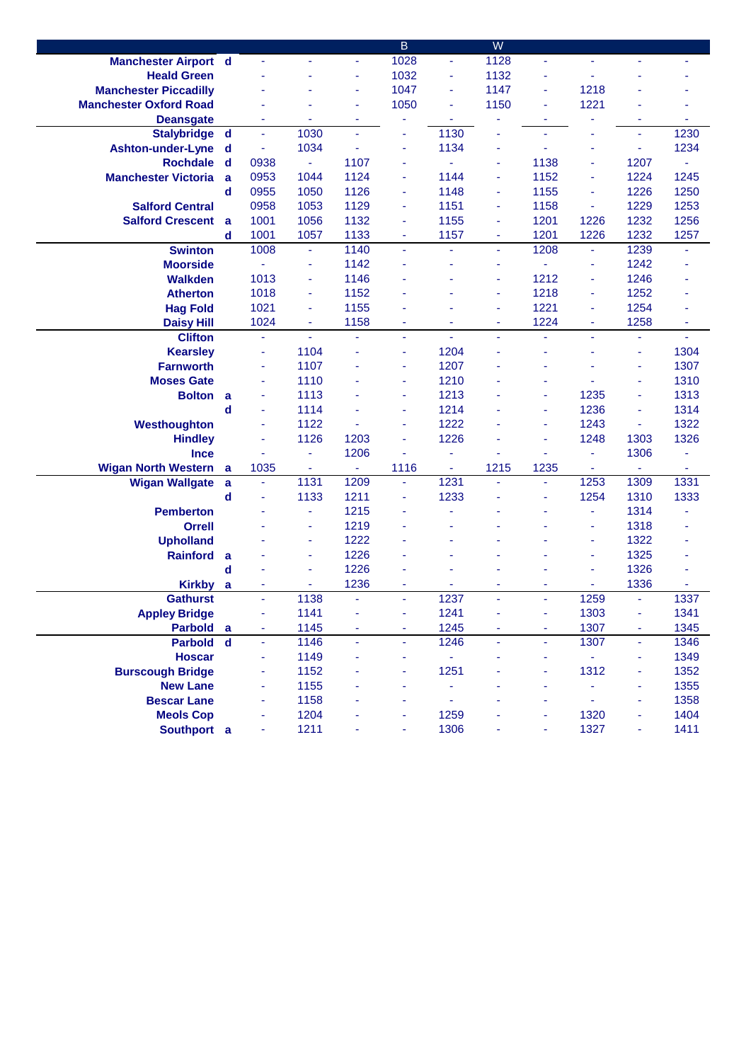|                               |             |      |      |                | B                        |      | W    |      |      |                          |                |
|-------------------------------|-------------|------|------|----------------|--------------------------|------|------|------|------|--------------------------|----------------|
| <b>Manchester Airport d</b>   |             |      | ÷    | ٠              | 1028                     | ÷    | 1128 | ä,   |      | ÷                        |                |
| <b>Heald Green</b>            |             |      |      | ÷              | 1032                     | ٠    | 1132 | ä,   |      |                          |                |
| <b>Manchester Piccadilly</b>  |             |      |      | ÷              | 1047                     | ÷    | 1147 | Ξ    | 1218 |                          |                |
| <b>Manchester Oxford Road</b> |             |      |      | ÷              | 1050                     |      | 1150 | ÷    | 1221 |                          |                |
| <b>Deansgate</b>              |             |      |      | ä              |                          |      |      | ä,   |      |                          |                |
| <b>Stalybridge</b>            | $\mathbf d$ | ä,   | 1030 | $\sim$         | ä,                       | 1130 |      | ä,   |      | ÷                        | 1230           |
| <b>Ashton-under-Lyne</b>      | d           | ÷    | 1034 | ä,             | ä,                       | 1134 | ä,   | L,   | ٠    | ÷                        | 1234           |
| <b>Rochdale</b>               | $\mathbf d$ | 0938 | Ξ    | 1107           | ä,                       |      | ٠    | 1138 | ÷,   | 1207                     | $\blacksquare$ |
| <b>Manchester Victoria</b>    | a           | 0953 | 1044 | 1124           | ä,                       | 1144 | Ξ    | 1152 | ä,   | 1224                     | 1245           |
|                               | d           | 0955 | 1050 | 1126           | $\overline{\phantom{a}}$ | 1148 | ä,   | 1155 | ÷,   | 1226                     | 1250           |
| <b>Salford Central</b>        |             | 0958 | 1053 | 1129           | $\blacksquare$           | 1151 | ٠    | 1158 | ä,   | 1229                     | 1253           |
| <b>Salford Crescent</b>       | a           | 1001 | 1056 | 1132           | Ξ                        | 1155 | Ξ    | 1201 | 1226 | 1232                     | 1256           |
|                               | d           | 1001 | 1057 | 1133           | $\blacksquare$           | 1157 | ٠    | 1201 | 1226 | 1232                     | 1257           |
| <b>Swinton</b>                |             | 1008 | ä,   | 1140           | ä,                       |      | ä,   | 1208 | ä,   | 1239                     |                |
| <b>Moorside</b>               |             | ä,   | Ξ    | 1142           |                          |      | ۰    | ä,   | ä,   | 1242                     |                |
| <b>Walkden</b>                |             | 1013 | ٠    | 1146           |                          |      | ä,   | 1212 | ÷    | 1246                     |                |
| <b>Atherton</b>               |             | 1018 | ٠    | 1152           |                          |      | ٠    | 1218 | ÷    | 1252                     |                |
| <b>Hag Fold</b>               |             | 1021 | ÷    | 1155           |                          |      | ä    | 1221 | ÷,   | 1254                     |                |
| <b>Daisy Hill</b>             |             | 1024 | ä,   | 1158           |                          |      | ÷    | 1224 | ٠    | 1258                     | ٠              |
| <b>Clifton</b>                |             | ä,   | ä,   |                |                          |      |      | L,   |      | ÷.                       |                |
| <b>Kearsley</b>               |             | ä,   | 1104 |                | ÷.                       | 1204 |      |      |      | ä,                       | 1304           |
| <b>Farnworth</b>              |             | Ξ    | 1107 |                | ä,                       | 1207 |      |      |      | $\blacksquare$           | 1307           |
| <b>Moses Gate</b>             |             | ٠    | 1110 |                | $\blacksquare$           | 1210 |      | ä,   |      | $\overline{\phantom{a}}$ | 1310           |
| <b>Bolton</b>                 | a           | Ξ    | 1113 |                | ä,                       | 1213 |      | ä,   | 1235 | ä,                       | 1313           |
|                               | $\mathbf d$ | Ξ    | 1114 |                | ä,                       | 1214 |      | ä,   | 1236 | ÷                        | 1314           |
| Westhoughton                  |             | Ξ    | 1122 |                | $\overline{\phantom{a}}$ | 1222 |      | ä,   | 1243 | ÷                        | 1322           |
| <b>Hindley</b>                |             | ÷    | 1126 | 1203           | ä,                       | 1226 |      | ä,   | 1248 | 1303                     | 1326           |
| <b>Ince</b>                   |             |      | ÷,   | 1206           | ä,                       | ä,   |      |      | ÷    | 1306                     | ÷              |
| <b>Wigan North Western</b>    | a           | 1035 | ۰    | $\blacksquare$ | 1116                     | ٠    | 1215 | 1235 | ÷    | Ξ                        | ۰              |
| <b>Wigan Wallgate</b>         | a           | ÷,   | 1131 | 1209           | ÷.                       | 1231 |      | ä,   | 1253 | 1309                     | 1331           |
|                               | d           |      | 1133 | 1211           | ä,                       | 1233 |      | ä,   | 1254 | 1310                     | 1333           |
| <b>Pemberton</b>              |             |      | ä,   | 1215           |                          |      |      |      | ä,   | 1314                     |                |
| <b>Orrell</b>                 |             |      | ٠    | 1219           |                          |      |      |      | ÷,   | 1318                     |                |
| <b>Upholland</b>              |             |      | ٠    | 1222           |                          |      |      |      | ä,   | 1322                     |                |
| <b>Rainford</b>               | a           |      | Ξ    | 1226           |                          |      |      |      | ä,   | 1325                     |                |
|                               | d           |      | Ξ    | 1226           |                          |      |      |      | ٠    | 1326                     | ä              |
| <b>Kirkby</b>                 | a           | ä,   | ä,   | 1236           | ä,                       |      | ÷    | ä,   | ä,   | 1336                     |                |
| <b>Gathurst</b>               |             | ÷.   | 1138 | $\blacksquare$ | $\omega$                 | 1237 | ÷,   | ä,   | 1259 | ÷.                       | 1337           |
| <b>Appley Bridge</b>          |             | Ξ    | 1141 | ٠              |                          | 1241 | ä,   | ÷    | 1303 |                          | 1341           |
| <b>Parbold</b>                | a           | ÷    | 1145 | ÷,             | ä,                       | 1245 | ÷,   | ÷    | 1307 | Ξ                        | 1345           |
| Parbold d                     |             | ÷,   | 1146 | ÷              | ä,                       | 1246 | ä,   | ÷    | 1307 | ÷                        | 1346           |
| <b>Hoscar</b>                 |             |      | 1149 |                | ÷                        |      |      | ä,   |      |                          | 1349           |
| <b>Burscough Bridge</b>       |             |      | 1152 |                |                          | 1251 |      | í,   | 1312 |                          | 1352           |
| <b>New Lane</b>               |             |      | 1155 |                |                          | ä,   |      |      |      |                          | 1355           |
| <b>Bescar Lane</b>            |             |      | 1158 |                | ٠                        |      |      | ÷    | ä,   | ä,                       | 1358           |
| <b>Meols Cop</b>              |             |      | 1204 |                | ä,                       | 1259 |      | ä,   | 1320 | ä,                       | 1404           |
| Southport a                   |             |      | 1211 |                |                          | 1306 |      | ä,   | 1327 |                          | 1411           |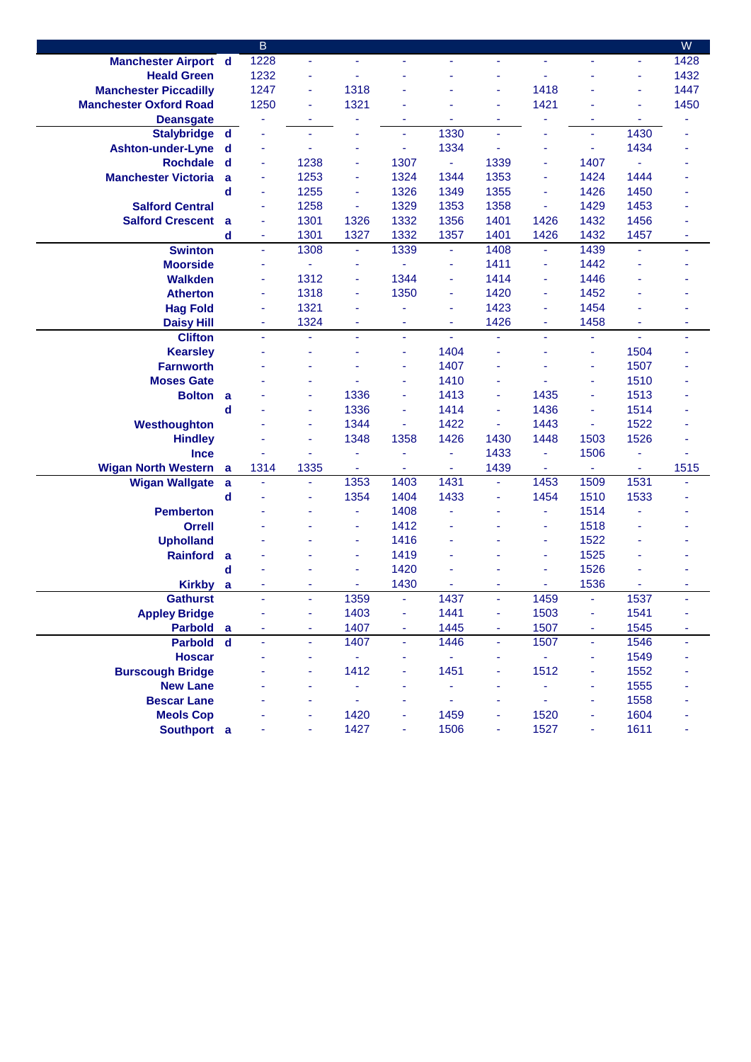|                               |             | $\overline{B}$ |                |                |                          |                |      |      |                          |                          | ${\sf W}$ |
|-------------------------------|-------------|----------------|----------------|----------------|--------------------------|----------------|------|------|--------------------------|--------------------------|-----------|
| <b>Manchester Airport d</b>   |             | 1228           | ä,             |                | ÷,                       |                | ÷    | ÷    |                          | Ξ                        | 1428      |
| <b>Heald Green</b>            |             | 1232           | ä,             |                |                          |                |      | ä,   |                          | $\blacksquare$           | 1432      |
| <b>Manchester Piccadilly</b>  |             | 1247           | $\blacksquare$ | 1318           |                          |                |      | 1418 |                          | ä,                       | 1447      |
| <b>Manchester Oxford Road</b> |             | 1250           | ä,             | 1321           |                          |                |      | 1421 |                          | ä,                       | 1450      |
| <b>Deansgate</b>              |             | ä,             | ÷              |                | ä,                       | $\blacksquare$ | ٠    |      | ä                        | $\overline{\phantom{a}}$ |           |
| Stalybridge d                 |             |                | ٠              |                | ä,                       | 1330           | ä,   | ٠    | ä,                       | 1430                     |           |
| <b>Ashton-under-Lyne</b>      | $\mathbf d$ | ÷              | ä,             | ÷              | ä,                       | 1334           |      | ٠    | ä,                       | 1434                     |           |
| <b>Rochdale</b>               | d           | ä,             | 1238           | ÷              | 1307                     | ÷              | 1339 | Ξ    | 1407                     | $\blacksquare$           |           |
| <b>Manchester Victoria</b>    | a           | ÷              | 1253           | ۰              | 1324                     | 1344           | 1353 | ٠    | 1424                     | 1444                     |           |
|                               | d           | ÷              | 1255           | ä,             | 1326                     | 1349           | 1355 | ÷    | 1426                     | 1450                     |           |
| <b>Salford Central</b>        |             | ÷              | 1258           | $\blacksquare$ | 1329                     | 1353           | 1358 | ä,   | 1429                     | 1453                     |           |
| <b>Salford Crescent</b>       | a           | ÷              | 1301           | 1326           | 1332                     | 1356           | 1401 | 1426 | 1432                     | 1456                     |           |
|                               | $\mathbf d$ | ÷              | 1301           | 1327           | 1332                     | 1357           | 1401 | 1426 | 1432                     | 1457                     | ä,        |
| <b>Swinton</b>                |             | $\blacksquare$ | 1308           | ٠              | 1339                     | ۰              | 1408 | Ξ    | 1439                     | ä,                       | ä,        |
| <b>Moorside</b>               |             | ä,             | ä,             | ٠              | ÷.                       | ÷              | 1411 | ÷    | 1442                     | ä,                       |           |
| <b>Walkden</b>                |             | ä,             | 1312           | ٠              | 1344                     | ÷              | 1414 | ä,   | 1446                     |                          |           |
| <b>Atherton</b>               |             | ÷              | 1318           | ä,             | 1350                     | ÷              | 1420 | ÷    | 1452                     |                          |           |
| <b>Hag Fold</b>               |             | ÷              | 1321           | ٠              | ä,                       | ٠              | 1423 | ÷    | 1454                     | ٠                        |           |
| <b>Daisy Hill</b>             |             | ÷              | 1324           | ۰              | ÷                        | ٠              | 1426 | ۰    | 1458                     | ÷                        | ٠         |
| <b>Clifton</b>                |             | ä,             | ä,             | ٠              | $\overline{\phantom{a}}$ | ä,             | ä,   | ä,   | $\blacksquare$           | $\blacksquare$           |           |
| <b>Kearsley</b>               |             |                | ÷              |                | ä,                       | 1404           |      | ä,   | ä,                       | 1504                     |           |
| <b>Farnworth</b>              |             |                |                |                | ä,                       | 1407           |      |      | ÷,                       | 1507                     |           |
| <b>Moses Gate</b>             |             |                |                |                | ä,                       | 1410           | ä,   |      | ×,                       | 1510                     |           |
| <b>Bolton</b>                 | a           |                | ÷              | 1336           | ä,                       | 1413           | Ξ    | 1435 | ÷                        | 1513                     |           |
|                               | d           |                | ÷              | 1336           | ä,                       | 1414           | ä,   | 1436 | ٠                        | 1514                     |           |
| Westhoughton                  |             |                | ä,             | 1344           | ä                        | 1422           | ä,   | 1443 | ä,                       | 1522                     |           |
| <b>Hindley</b>                |             |                | ä,             | 1348           | 1358                     | 1426           | 1430 | 1448 | 1503                     | 1526                     |           |
| <b>Ince</b>                   |             |                | ÷.             | ٠              | ÷.                       | ÷              | 1433 | ÷    | 1506                     | $\blacksquare$           |           |
| <b>Wigan North Western</b>    | a           | 1314           | 1335           | $\blacksquare$ | ä                        | ä,             | 1439 | ä,   | $\omega$                 | ä,                       | 1515      |
| <b>Wigan Wallgate</b>         | $\mathbf a$ | ä,             | ä,             | 1353           | 1403                     | 1431           | ÷.   | 1453 | 1509                     | 1531                     |           |
|                               | d           |                | ÷              | 1354           | 1404                     | 1433           | ä,   | 1454 | 1510                     | 1533                     |           |
| <b>Pemberton</b>              |             |                |                | ÷              | 1408                     | ä,             | ٠    | ÷    | 1514                     |                          |           |
| <b>Orrell</b>                 |             |                |                | ۰              | 1412                     |                |      | Ξ    | 1518                     |                          |           |
| <b>Upholland</b>              |             |                |                | ÷              | 1416                     |                |      | ٠    | 1522                     |                          |           |
| <b>Rainford</b>               | a           |                |                | ä,             | 1419                     |                |      | ÷    | 1525                     |                          |           |
|                               | d           |                |                | ä,             | 1420                     |                |      | ä,   | 1526                     |                          |           |
| <b>Kirkby</b>                 | a           | ä,             |                |                | 1430                     |                | ٠    | ÷    | 1536                     |                          | ٠         |
| <b>Gathurst</b>               |             | ä,             | ä,             | 1359           | ÷.                       | 1437           | ä,   | 1459 | $\blacksquare$           | 1537                     |           |
| <b>Appley Bridge</b>          |             |                |                | 1403           |                          | 1441           | Ξ    | 1503 | $\overline{\phantom{a}}$ | 1541                     |           |
| Parbold a                     |             |                |                | 1407           |                          | 1445           | Ξ    | 1507 |                          | 1545                     |           |
| Parbold d                     |             | ÷.             | ÷,             | 1407           | ä,                       | 1446           | ä,   | 1507 | ä,                       | 1546                     | ä,        |
| <b>Hoscar</b>                 |             |                |                | ÷              | ä,                       | ÷              | ä,   | ۰    | ä,                       | 1549                     |           |
| <b>Burscough Bridge</b>       |             |                |                | 1412           |                          | 1451           | ÷    | 1512 | ä,                       | 1552                     |           |
| <b>New Lane</b>               |             |                | ٠              | ۰              | ÷                        | ÷              | ÷    | ä,   | ٠                        | 1555                     |           |
| <b>Bescar Lane</b>            |             |                | ÷              | ÷              |                          |                | ä,   | ä,   | ÷                        | 1558                     |           |
| <b>Meols Cop</b>              |             |                | ÷              | 1420           |                          | 1459           |      | 1520 | ä,                       | 1604                     |           |
| Southport a                   |             |                | ٠              | 1427           | ÷,                       | 1506           | ÷    | 1527 | ۰                        | 1611                     |           |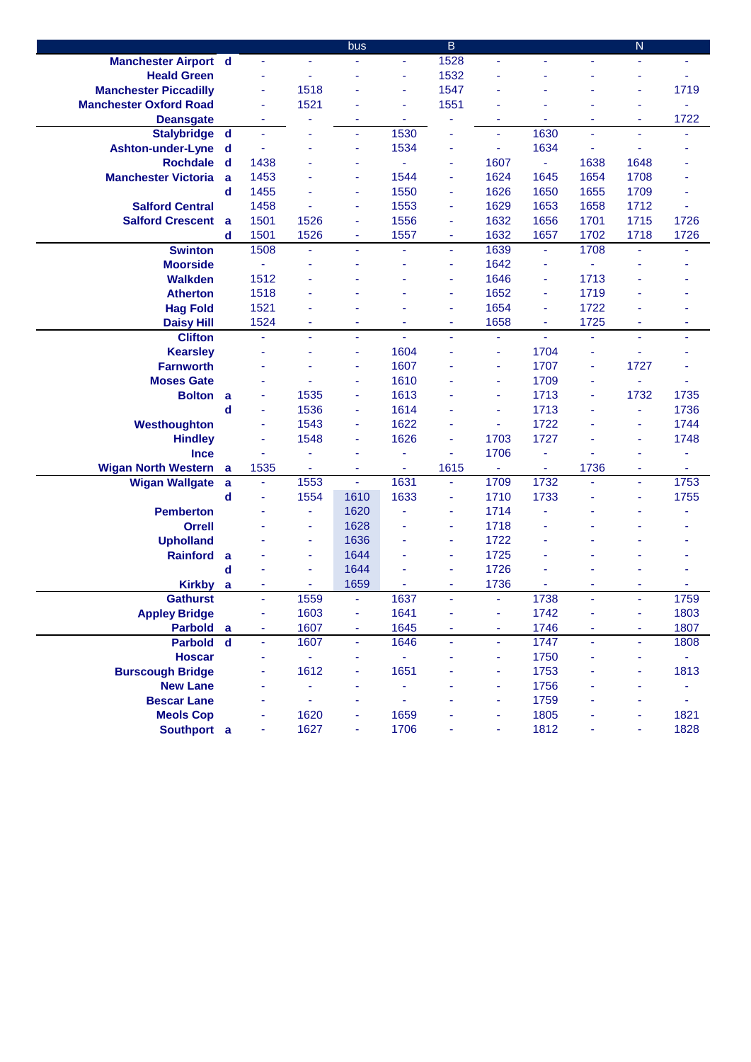|                               |             |                |      | bus            |                          | $\mathsf B$    |      |      |                | ${\sf N}$      |      |
|-------------------------------|-------------|----------------|------|----------------|--------------------------|----------------|------|------|----------------|----------------|------|
| <b>Manchester Airport d</b>   |             |                |      |                | ÷,                       | 1528           | ÷    |      |                |                |      |
| <b>Heald Green</b>            |             |                | ä,   |                | ÷                        | 1532           |      |      |                |                |      |
| <b>Manchester Piccadilly</b>  |             | ä,             | 1518 |                | ä,                       | 1547           |      |      |                |                | 1719 |
| <b>Manchester Oxford Road</b> |             | ÷              | 1521 |                | ä,                       | 1551           |      |      |                |                | ä,   |
| <b>Deansgate</b>              |             | ÷              |      | ä              | $\overline{\phantom{a}}$ | ÷              | ٠    | ÷    | ٠              | $\blacksquare$ | 1722 |
| Stalybridge d                 |             | ä,             |      | ä,             | 1530                     | ä,             | ÷    | 1630 | $\blacksquare$ | $\blacksquare$ |      |
| <b>Ashton-under-Lyne</b>      | d           | ä,             |      | ٠              | 1534                     | ÷              | ä,   | 1634 |                | $\blacksquare$ |      |
| <b>Rochdale</b>               | d           | 1438           |      | ٠              | $\blacksquare$           | ÷              | 1607 | ÷,   | 1638           | 1648           |      |
| <b>Manchester Victoria</b>    | a           | 1453           |      | ÷              | 1544                     | ÷              | 1624 | 1645 | 1654           | 1708           |      |
|                               | d           | 1455           |      | ٠              | 1550                     | ÷              | 1626 | 1650 | 1655           | 1709           |      |
| <b>Salford Central</b>        |             | 1458           |      | ÷              | 1553                     | ٠              | 1629 | 1653 | 1658           | 1712           |      |
| <b>Salford Crescent</b>       | - a         | 1501           | 1526 | ٠              | 1556                     | ٠              | 1632 | 1656 | 1701           | 1715           | 1726 |
|                               | d           | 1501           | 1526 | ٠              | 1557                     | ٠              | 1632 | 1657 | 1702           | 1718           | 1726 |
| <b>Swinton</b>                |             | 1508           | ä,   | ÷.             | ä,                       | ٠              | 1639 | Ξ    | 1708           | ä,             |      |
| <b>Moorside</b>               |             | $\blacksquare$ | ä,   |                | ä,                       | ٠              | 1642 | Ξ    | $\blacksquare$ |                |      |
| <b>Walkden</b>                |             | 1512           |      |                |                          | ÷              | 1646 | Ξ    | 1713           |                |      |
| <b>Atherton</b>               |             | 1518           |      |                |                          | ٠              | 1652 | Ξ    | 1719           |                |      |
| <b>Hag Fold</b>               |             | 1521           |      |                |                          | ÷              | 1654 | Ξ    | 1722           |                |      |
| <b>Daisy Hill</b>             |             | 1524           | ٠    | ٠              | ٠                        | ٠              | 1658 | ۰    | 1725           | ٠              | ۰    |
| <b>Clifton</b>                |             | ä,             | ä,   | ٠              | $\blacksquare$           | $\blacksquare$ | ÷    | ä,   | ÷,             | $\blacksquare$ |      |
| <b>Kearsley</b>               |             |                |      | ٠              | 1604                     |                | ÷    | 1704 | ÷              |                |      |
| <b>Farnworth</b>              |             |                |      | ٠              | 1607                     |                | ٠    | 1707 | ä,             | 1727           |      |
| <b>Moses Gate</b>             |             |                |      | ä,             | 1610                     |                | ٠    | 1709 |                | ÷.             |      |
| <b>Bolton</b>                 | a           | ÷              | 1535 | ٠              | 1613                     |                | ٠    | 1713 | ÷              | 1732           | 1735 |
|                               | d           | ٠              | 1536 | ٠              | 1614                     |                | ٠    | 1713 |                | $\blacksquare$ | 1736 |
| Westhoughton                  |             | ÷              | 1543 | ٠              | 1622                     |                | ٠    | 1722 |                | ÷              | 1744 |
| <b>Hindley</b>                |             | ÷              | 1548 | ä,             | 1626                     | ÷              | 1703 | 1727 |                | ÷              | 1748 |
| <b>Ince</b>                   |             |                | ÷    | ٠              | ä,                       | $\blacksquare$ | 1706 | Ξ    |                | ٠              |      |
| <b>Wigan North Western</b>    | a           | 1535           | ä,   | ä,             | $\omega$                 | 1615           | ä,   | ä,   | 1736           | $\blacksquare$ | ä,   |
| <b>Wigan Wallgate</b>         | $\mathbf a$ | $\blacksquare$ | 1553 | $\blacksquare$ | 1631                     | ÷              | 1709 | 1732 | $\blacksquare$ | ÷.             | 1753 |
|                               | d           | $\blacksquare$ | 1554 | 1610           | 1633                     | ٠              | 1710 | 1733 |                | ٠              | 1755 |
| <b>Pemberton</b>              |             |                | Ξ    | 1620           | L,                       | ٠              | 1714 | ä,   |                |                |      |
| <b>Orrell</b>                 |             |                | ٠    | 1628           |                          | ٠              | 1718 |      |                |                |      |
| <b>Upholland</b>              |             |                | ٠    | 1636           |                          | ٠              | 1722 |      |                |                |      |
| <b>Rainford</b>               | a           |                | ٠    | 1644           |                          | ٠              | 1725 |      |                |                |      |
|                               | d           |                | ÷    | 1644           |                          | ÷              | 1726 |      |                |                |      |
| Kirkby a                      |             | ä,             |      | 1659           | ä,                       | ÷              | 1736 |      |                | ٠              |      |
| <b>Gathurst</b>               |             | ä,             | 1559 | ÷.             | 1637                     | ä,             | ÷.   | 1738 | ä,             | ä,             | 1759 |
| <b>Appley Bridge</b>          |             | ä,             | 1603 | ٠              | 1641                     |                | ٠    | 1742 |                |                | 1803 |
| Parbold a                     |             |                | 1607 | ۰              | 1645                     |                | ٠    | 1746 |                |                | 1807 |
| Parbold d                     |             | ä,             | 1607 | ÷,             | 1646                     | ÷,             | ä,   | 1747 | ÷.             | $\omega$       | 1808 |
| <b>Hoscar</b>                 |             | ä,             | Ξ    | ٠              | ÷,                       |                | ٠    | 1750 |                | ÷              | ÷    |
| <b>Burscough Bridge</b>       |             |                | 1612 | ٠              | 1651                     |                | ÷    | 1753 |                |                | 1813 |
| <b>New Lane</b>               |             | ٠              | ÷    | ۰              | ä,                       |                | ä,   | 1756 |                |                | ÷,   |
| <b>Bescar Lane</b>            |             | ä,             | ÷    | ٠              | ÷,                       |                | ٠    | 1759 |                | ÷              | ä,   |
| <b>Meols Cop</b>              |             |                | 1620 | ۰              | 1659                     |                |      | 1805 |                |                | 1821 |
| Southport a                   |             |                | 1627 | ۰              | 1706                     |                |      | 1812 |                |                | 1828 |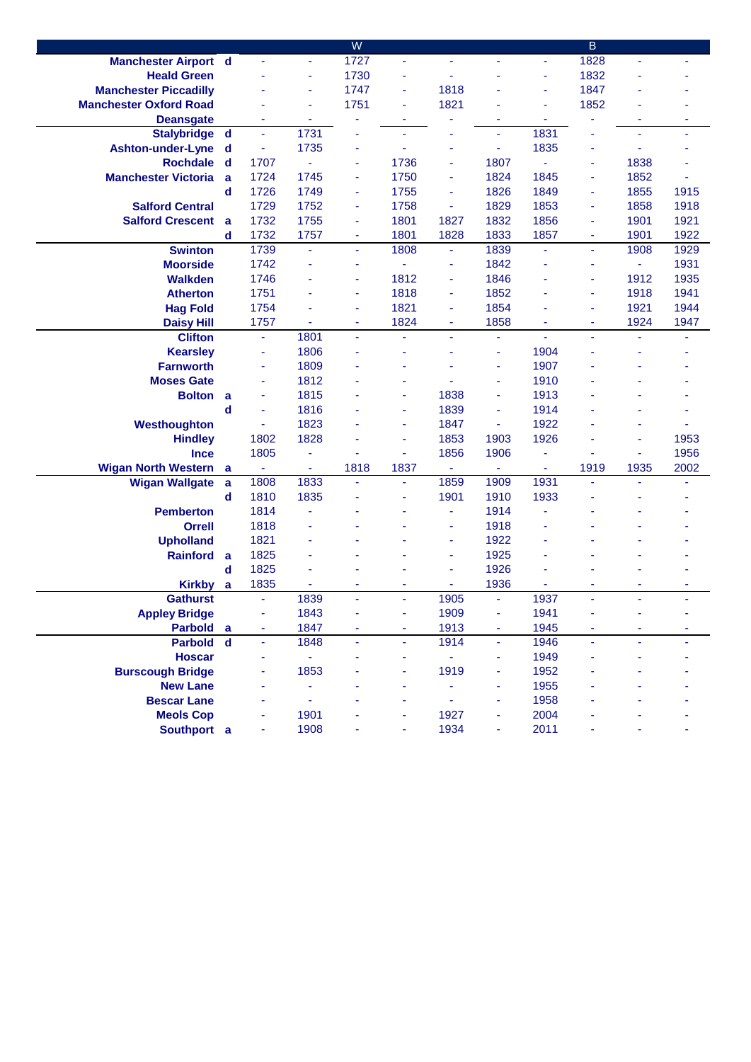|                               |             |                |                | W                        |      |                |                |                | B    |                |                |
|-------------------------------|-------------|----------------|----------------|--------------------------|------|----------------|----------------|----------------|------|----------------|----------------|
| <b>Manchester Airport d</b>   |             |                | ä,             | 1727                     | ä,   |                | ٠              | ä,             | 1828 | ä,             |                |
| <b>Heald Green</b>            |             |                | ä,             | 1730                     | ٠    |                |                | ÷              | 1832 |                |                |
| <b>Manchester Piccadilly</b>  |             |                | ÷              | 1747                     | Ξ    | 1818           |                | $\blacksquare$ | 1847 | ÷              |                |
| <b>Manchester Oxford Road</b> |             |                | ٠              | 1751                     | ÷    | 1821           |                | ÷              | 1852 |                |                |
| <b>Deansgate</b>              |             | ٠              | ۰              |                          |      |                | ٠              |                |      | ۰              |                |
| <b>Stalybridge</b>            | $\mathbf d$ | ä,             | 1731           | ä,                       | ÷    |                | ä,             | 1831           |      | $\blacksquare$ | $\blacksquare$ |
| <b>Ashton-under-Lyne</b>      | d           | ÷              | 1735           | ÷                        |      | ä,             | ä,             | 1835           | ÷    | ä,             |                |
| <b>Rochdale</b>               | d           | 1707           | ä,             | $\overline{\phantom{a}}$ | 1736 | ٠              | 1807           | $\omega$       | ٠    | 1838           |                |
| <b>Manchester Victoria</b>    | a           | 1724           | 1745           | ÷                        | 1750 | ٠              | 1824           | 1845           | ä,   | 1852           |                |
|                               | d           | 1726           | 1749           | $\sim$                   | 1755 | ٠              | 1826           | 1849           | ٠    | 1855           | 1915           |
| <b>Salford Central</b>        |             | 1729           | 1752           | ÷                        | 1758 | ä,             | 1829           | 1853           | ä,   | 1858           | 1918           |
| <b>Salford Crescent</b>       | a           | 1732           | 1755           | ä,                       | 1801 | 1827           | 1832           | 1856           | ä,   | 1901           | 1921           |
|                               | d           | 1732           | 1757           | ä,                       | 1801 | 1828           | 1833           | 1857           | Ξ    | 1901           | 1922           |
| <b>Swinton</b>                |             | 1739           | $\blacksquare$ | ä,                       | 1808 | ٠              | 1839           | ä,             | L,   | 1908           | 1929           |
| <b>Moorside</b>               |             | 1742           | $\blacksquare$ | $\sim$                   | ä,   | ٠              | 1842           | ÷,             | ٠    | $\sim$         | 1931           |
| <b>Walkden</b>                |             | 1746           | ä,             | ä,                       | 1812 | ٠              | 1846           | ÷              | ä,   | 1912           | 1935           |
| <b>Atherton</b>               |             | 1751           | ٠              | ä,                       | 1818 | ٠              | 1852           | ÷              | ä,   | 1918           | 1941           |
| <b>Hag Fold</b>               |             | 1754           | ٠              | ÷                        | 1821 | ۰              | 1854           | ÷              | ÷    | 1921           | 1944           |
| <b>Daisy Hill</b>             |             | 1757           |                | $\blacksquare$           | 1824 | ۰              | 1858           |                | ۰    | 1924           | 1947           |
| <b>Clifton</b>                |             | Ξ              | 1801           | $\tilde{\phantom{a}}$    | ÷    | ÷.             | $\blacksquare$ | $\blacksquare$ | ä,   | $\blacksquare$ |                |
| <b>Kearsley</b>               |             | ٠              | 1806           |                          |      |                | ä,             | 1904           |      | ä,             |                |
| <b>Farnworth</b>              |             | ٠              | 1809           |                          |      |                | $\blacksquare$ | 1907           |      |                |                |
| <b>Moses Gate</b>             |             | ٠              | 1812           |                          |      |                | ä,             | 1910           |      |                |                |
| <b>Bolton</b>                 | a           | ٠              | 1815           |                          |      | 1838           | ä,             | 1913           |      |                |                |
|                               | d           | ٠              | 1816           |                          | ٠    | 1839           | $\blacksquare$ | 1914           |      |                |                |
| Westhoughton                  |             | Ξ              | 1823           |                          | ٠    | 1847           | ä,             | 1922           |      |                |                |
| <b>Hindley</b>                |             | 1802           | 1828           |                          | ٠    | 1853           | 1903           | 1926           |      | ÷              | 1953           |
| <b>Ince</b>                   |             | 1805           | ÷              |                          | ٠    | 1856           | 1906           | ä,             |      | $\blacksquare$ | 1956           |
| <b>Wigan North Western</b>    | a           | $\blacksquare$ | ÷              | 1818                     | 1837 | $\blacksquare$ | ÷              | $\blacksquare$ | 1919 | 1935           | 2002           |
| <b>Wigan Wallgate</b>         | a<br>d      | 1808<br>1810   | 1833<br>1835   | ÷                        | Ξ    | 1859<br>1901   | 1909<br>1910   | 1931<br>1933   | ä,   | ٠              |                |
| <b>Pemberton</b>              |             | 1814           | ä,             |                          |      | ä,             | 1914           |                |      |                |                |
| <b>Orrell</b>                 |             | 1818           |                |                          |      | ٠              | 1918           |                |      |                |                |
| <b>Upholland</b>              |             | 1821           | ä,             |                          |      | ä              | 1922           |                |      |                |                |
| <b>Rainford</b>               | a           | 1825           | ä,             |                          |      | ä,             | 1925           |                |      |                |                |
|                               | d           | 1825           | L              |                          |      | ä,             | 1926           |                |      |                |                |
| <b>Kirkby</b>                 | a           | 1835           |                |                          |      |                | 1936           |                |      | ٠              |                |
| <b>Gathurst</b>               |             | ä,             | 1839           |                          |      | 1905           | ä,             | 1937           |      |                |                |
| <b>Appley Bridge</b>          |             | ۰              | 1843           |                          |      | 1909           | ä,             | 1941           |      |                |                |
| Parbold a                     |             | ٠              | 1847           |                          |      | 1913           | ÷              | 1945           |      | ÷              |                |
| <b>Parbold</b>                | $\mathbf d$ | ÷,             | 1848           | ä,                       | ä,   | 1914           | Ξ              | 1946           | ä,   | ä,             |                |
| <b>Hoscar</b>                 |             | ٠              | -              |                          |      |                | ä,             | 1949           |      |                |                |
| <b>Burscough Bridge</b>       |             |                | 1853           |                          |      | 1919           | ä,             | 1952           |      |                |                |
| <b>New Lane</b>               |             |                |                |                          |      |                | ä              | 1955           |      |                |                |
| <b>Bescar Lane</b>            |             |                | ä,             |                          |      |                |                | 1958           |      |                |                |
| <b>Meols Cop</b>              |             |                | 1901           |                          |      | 1927           |                | 2004           |      |                |                |
| Southport a                   |             |                | 1908           |                          |      | 1934           |                | 2011           |      |                |                |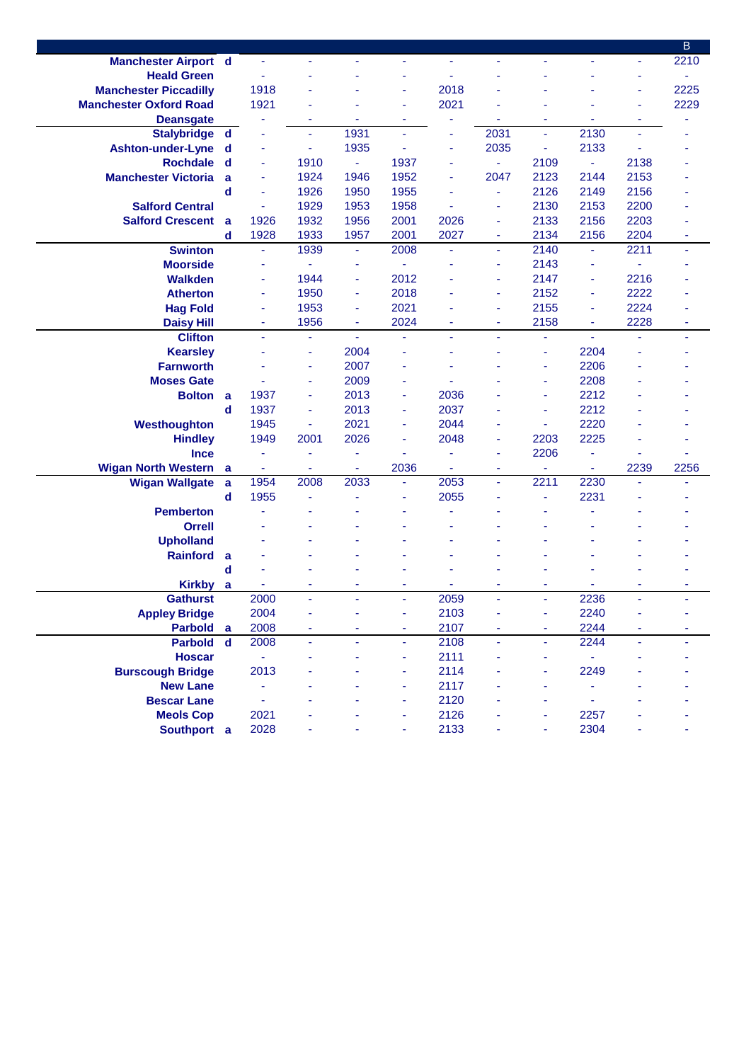|                               |             |      |      |                |                |      |                |                |                |                | B    |
|-------------------------------|-------------|------|------|----------------|----------------|------|----------------|----------------|----------------|----------------|------|
| <b>Manchester Airport d</b>   |             | ä,   | ÷    |                | ä,             |      | ٠              | ٠              |                | ÷              | 2210 |
| <b>Heald Green</b>            |             |      |      |                |                |      |                |                |                | ٠              |      |
| <b>Manchester Piccadilly</b>  |             | 1918 |      |                | ÷              | 2018 |                |                |                |                | 2225 |
| <b>Manchester Oxford Road</b> |             | 1921 |      |                | ٠              | 2021 |                |                |                |                | 2229 |
| <b>Deansgate</b>              |             |      | ۰    |                | ä,             |      |                | ä,             |                | $\blacksquare$ |      |
| <b>Stalybridge</b>            | $\mathbf d$ |      | Ξ    | 1931           | $\blacksquare$ |      | 2031           | $\blacksquare$ | 2130           | ä,             |      |
| <b>Ashton-under-Lyne</b>      | d           |      | ÷    | 1935           | $\blacksquare$ | ۰    | 2035           | ä,             | 2133           | ٠              |      |
| <b>Rochdale</b>               | $\mathbf d$ | ä,   | 1910 | $\omega$       | 1937           | ٠    | ÷.             | 2109           | $\blacksquare$ | 2138           |      |
| <b>Manchester Victoria</b>    | a           | ٠    | 1924 | 1946           | 1952           | ٠    | 2047           | 2123           | 2144           | 2153           |      |
|                               | $\mathbf d$ | ä,   | 1926 | 1950           | 1955           | ٠    | ä,             | 2126           | 2149           | 2156           |      |
| <b>Salford Central</b>        |             | ä,   | 1929 | 1953           | 1958           | ä,   | ٠              | 2130           | 2153           | 2200           |      |
| <b>Salford Crescent</b>       | a           | 1926 | 1932 | 1956           | 2001           | 2026 | ÷              | 2133           | 2156           | 2203           |      |
|                               | d           | 1928 | 1933 | 1957           | 2001           | 2027 | ٠              | 2134           | 2156           | 2204           | ٠    |
| <b>Swinton</b>                |             | ÷,   | 1939 | $\blacksquare$ | 2008           | ä,   | $\blacksquare$ | 2140           | ÷,             | 2211           | ÷,   |
| <b>Moorside</b>               |             | ÷    |      | ä,             | ÷,             |      | ٠              | 2143           | ÷              | ä,             |      |
| <b>Walkden</b>                |             | ÷    | 1944 | ÷              | 2012           |      | ä,             | 2147           | ÷              | 2216           |      |
| <b>Atherton</b>               |             | ÷    | 1950 | ÷              | 2018           |      | ٠              | 2152           | ÷              | 2222           |      |
| <b>Hag Fold</b>               |             | ÷    | 1953 | ÷              | 2021           |      | ä              | 2155           | ÷,             | 2224           |      |
| <b>Daisy Hill</b>             |             | ÷    | 1956 | ÷              | 2024           |      | ÷              | 2158           | ٠              | 2228           |      |
| <b>Clifton</b>                |             |      | ÷,   |                |                |      |                | ä,             |                |                |      |
| <b>Kearsley</b>               |             |      | Ξ    | 2004           |                |      |                | ä,             | 2204           |                |      |
| <b>Farnworth</b>              |             |      | ٠    | 2007           | $\blacksquare$ |      |                | ä,             | 2206           |                |      |
| <b>Moses Gate</b>             |             |      | ٠    | 2009           | ٠              |      |                | ä,             | 2208           |                |      |
| <b>Bolton</b>                 | a           | 1937 | Ξ    | 2013           | ä,             | 2036 |                | ä,             | 2212           |                |      |
|                               | $\mathbf d$ | 1937 | Ξ    | 2013           | ä,             | 2037 |                | ä,             | 2212           |                |      |
| Westhoughton                  |             | 1945 | ÷    | 2021           | ٠              | 2044 | ۰              | ä,             | 2220           |                |      |
| <b>Hindley</b>                |             | 1949 | 2001 | 2026           | ÷              | 2048 | ÷              | 2203           | 2225           |                |      |
| <b>Ince</b>                   |             | ÷    | ä,   | ä,             | ä,             |      | ۰              | 2206           | ä,             |                |      |
| <b>Wigan North Western</b>    | a           | ٠    | ۰    | ٠              | 2036           | ۰    | ٠              | ۰              | ٠              | 2239           | 2256 |
| <b>Wigan Wallgate</b>         | a           | 1954 | 2008 | 2033           | ÷              | 2053 | ä,             | 2211           | 2230           |                | ä    |
|                               | d           | 1955 | ä,   |                |                | 2055 |                | ä,             | 2231           |                |      |
| <b>Pemberton</b>              |             |      |      |                |                |      |                |                |                |                |      |
| <b>Orrell</b>                 |             |      |      |                |                |      |                |                |                |                |      |
| <b>Upholland</b>              |             |      |      |                |                |      |                |                |                |                |      |
| <b>Rainford</b>               | a           |      |      |                |                |      |                |                |                |                |      |
|                               | d           |      |      |                |                |      |                |                |                |                |      |
| Kirkby a                      |             |      | ٠    | ÷              |                |      | ä,             | ä,             |                |                | ۰    |
| <b>Gathurst</b>               |             | 2000 | ÷,   | ÷              | ÷.             | 2059 | ÷,             | ÷.             | 2236           | ÷              | ٠    |
| <b>Appley Bridge</b>          |             | 2004 |      |                |                | 2103 |                | ä,             | 2240           |                |      |
| <b>Parbold</b>                | a           | 2008 | ۰    | ÷              | ä,             | 2107 | ٠              | ÷,             | 2244           |                | ٠    |
| <b>Parbold</b>                | $\mathbf d$ | 2008 | ÷    |                | ÷              | 2108 | ä,             | Ξ              | 2244           |                |      |
| <b>Hoscar</b>                 |             |      |      |                |                | 2111 |                | ÷              |                |                |      |
| <b>Burscough Bridge</b>       |             | 2013 |      |                |                | 2114 |                |                | 2249           |                |      |
| <b>New Lane</b>               |             |      |      |                |                | 2117 |                |                |                |                |      |
| <b>Bescar Lane</b>            |             |      |      |                | ÷.             | 2120 |                |                | ä,             |                |      |
| <b>Meols Cop</b>              |             | 2021 |      |                |                | 2126 |                |                | 2257           |                |      |
| Southport a                   |             | 2028 |      |                |                | 2133 |                | ä,             | 2304           |                |      |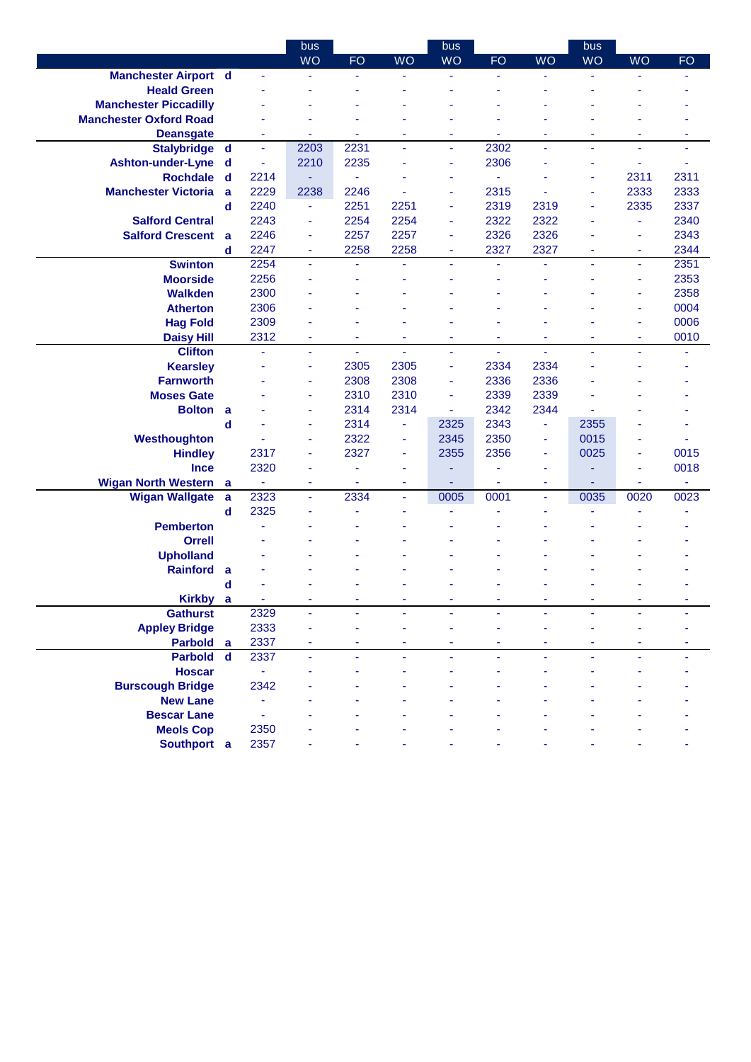|                               |                  |                        | bus            |           |                | bus                      |                          |           | bus       |           |           |
|-------------------------------|------------------|------------------------|----------------|-----------|----------------|--------------------------|--------------------------|-----------|-----------|-----------|-----------|
|                               |                  |                        | <b>WO</b>      | <b>FO</b> | <b>WO</b>      | <b>WO</b>                | <b>FO</b>                | <b>WO</b> | <b>WO</b> | <b>WO</b> | <b>FO</b> |
| <b>Manchester Airport d</b>   |                  |                        | $\blacksquare$ | ÷         |                | $\overline{\phantom{a}}$ | ÷                        | ä,        | ÷         |           |           |
| <b>Heald Green</b>            |                  |                        |                |           |                |                          |                          |           |           |           |           |
| <b>Manchester Piccadilly</b>  |                  |                        |                |           |                |                          |                          |           |           |           |           |
| <b>Manchester Oxford Road</b> |                  |                        |                |           |                |                          |                          |           |           |           |           |
| <b>Deansgate</b>              |                  | ٠                      | ٠              | ٠         | ۰              | ٠                        | $\overline{\phantom{a}}$ | ٠         | ٠         | ٠         | ٠         |
| Stalybridge d                 |                  | $\blacksquare$         | 2203           | 2231      | ÷,             | $\blacksquare$           | 2302                     | ä,        | ä,        | ÷         | ä,        |
| <b>Ashton-under-Lyne</b>      | d                | ÷                      | 2210           | 2235      |                | ÷                        | 2306                     | ٠         | ä,        | ÷         |           |
| <b>Rochdale</b>               | d                | 2214                   |                | ä,        |                | ٠                        |                          | ٠         | ×,        | 2311      | 2311      |
| <b>Manchester Victoria</b>    | a                | 2229                   | 2238           | 2246      |                |                          | 2315                     |           | ä,        | 2333      | 2333      |
|                               | d                | 2240                   | ٠              | 2251      | 2251           | ٠                        | 2319                     | 2319      | ä,        | 2335      | 2337      |
| <b>Salford Central</b>        |                  | 2243                   | ٠              | 2254      | 2254           | ٠                        | 2322                     | 2322      | ٠         | ÷         | 2340      |
| <b>Salford Crescent</b>       | a                | 2246                   | ÷              | 2257      | 2257           | ٠                        | 2326                     | 2326      |           | ÷         | 2343      |
|                               | $\mathbf d$      | 2247                   | ٠              | 2258      | 2258           | ٠                        | 2327                     | 2327      | ٠         | ٠         | 2344      |
| <b>Swinton</b>                |                  | 2254                   | ä,             |           | ä,             | ä,                       |                          | ä,        | ä,        | ÷         | 2351      |
| <b>Moorside</b>               |                  | 2256                   | $\blacksquare$ |           |                |                          |                          | ä,        |           | ٠         | 2353      |
| <b>Walkden</b>                |                  | 2300                   |                |           |                |                          |                          |           |           |           | 2358      |
| <b>Atherton</b>               |                  | 2306                   |                |           |                |                          |                          |           |           | ÷         | 0004      |
| <b>Hag Fold</b>               |                  | 2309                   |                |           |                |                          |                          |           |           | ÷         | 0006      |
| <b>Daisy Hill</b>             |                  | 2312                   | ٠              | ٠         | ٠              | ٠                        | ٠                        | ٠         | ٠         | ٠         | 0010      |
| <b>Clifton</b>                |                  | ä,                     | ٠              | ٠         | $\blacksquare$ | ٠                        | ä,                       | Ξ         | ä,        | ٠         |           |
| <b>Kearsley</b>               |                  |                        | ×              | 2305      | 2305           | ÷                        | 2334                     | 2334      |           |           |           |
| <b>Farnworth</b>              |                  |                        | ÷              | 2308      | 2308           | ÷                        | 2336                     | 2336      |           |           |           |
| <b>Moses Gate</b>             |                  |                        | ٠              | 2310      | 2310           | ÷                        | 2339                     | 2339      |           |           |           |
| <b>Bolton</b>                 | a                |                        | ٠              | 2314      | 2314           | $\blacksquare$           | 2342                     | 2344      |           |           |           |
|                               | $\mathbf d$      |                        | ÷              | 2314      | Ξ              | 2325                     | 2343                     | ä,        | 2355      |           |           |
| Westhoughton                  |                  |                        | ÷              | 2322      | ä,             | 2345                     | 2350                     | Ξ         | 0015      |           |           |
| <b>Hindley</b>                |                  | 2317                   | ÷              | 2327      | ä,             | 2355                     | 2356                     | ٠         | 0025      | ÷         | 0015      |
| <b>Ince</b>                   |                  | 2320                   | $\blacksquare$ | ۰         | ä,             | ٠                        |                          | ÷         |           | ÷         | 0018      |
| <b>Wigan North Western</b>    | a                | $\blacksquare$<br>2323 | ÷<br>ä,        | ٠<br>2334 | Ξ<br>ä,        | 0005                     | ÷<br>0001                | ÷<br>ä,   | 0035      | ٠<br>0020 | ٠<br>0023 |
| <b>Wigan Wallgate</b>         | a<br>$\mathbf d$ | 2325                   |                |           |                | ä,                       |                          |           | ä,        |           |           |
| <b>Pemberton</b>              |                  |                        |                |           |                |                          |                          |           |           |           |           |
| <b>Orrell</b>                 |                  |                        |                |           |                |                          |                          |           |           |           |           |
| <b>Upholland</b>              |                  |                        |                |           |                |                          |                          |           |           |           |           |
| <b>Rainford</b>               | a                |                        |                |           |                |                          |                          |           |           |           |           |
|                               | d                |                        |                |           |                |                          |                          |           |           |           |           |
| <b>Kirkby</b>                 | a                |                        |                |           |                |                          |                          |           |           |           |           |
| <b>Gathurst</b>               |                  | 2329                   |                |           |                |                          |                          |           |           |           |           |
| <b>Appley Bridge</b>          |                  | 2333                   |                |           |                |                          |                          |           |           |           |           |
| Parbold a                     |                  | 2337                   |                |           |                |                          |                          |           |           |           |           |
| <b>Parbold</b>                | $\mathbf d$      | 2337                   | ÷.             | ÷.        | ÷.             | ÷.                       | ä,                       | ÷,        | ä,        | ä,        |           |
| <b>Hoscar</b>                 |                  | ä,                     |                |           |                |                          |                          |           |           |           |           |
| <b>Burscough Bridge</b>       |                  | 2342                   |                |           |                |                          |                          |           |           |           |           |
| <b>New Lane</b>               |                  |                        |                |           |                |                          |                          |           |           |           |           |
| <b>Bescar Lane</b>            |                  |                        |                |           |                |                          |                          |           |           |           |           |
| <b>Meols Cop</b>              |                  | 2350                   |                |           |                |                          |                          |           |           |           |           |
| Southport a                   |                  | 2357                   |                |           |                |                          |                          |           |           |           |           |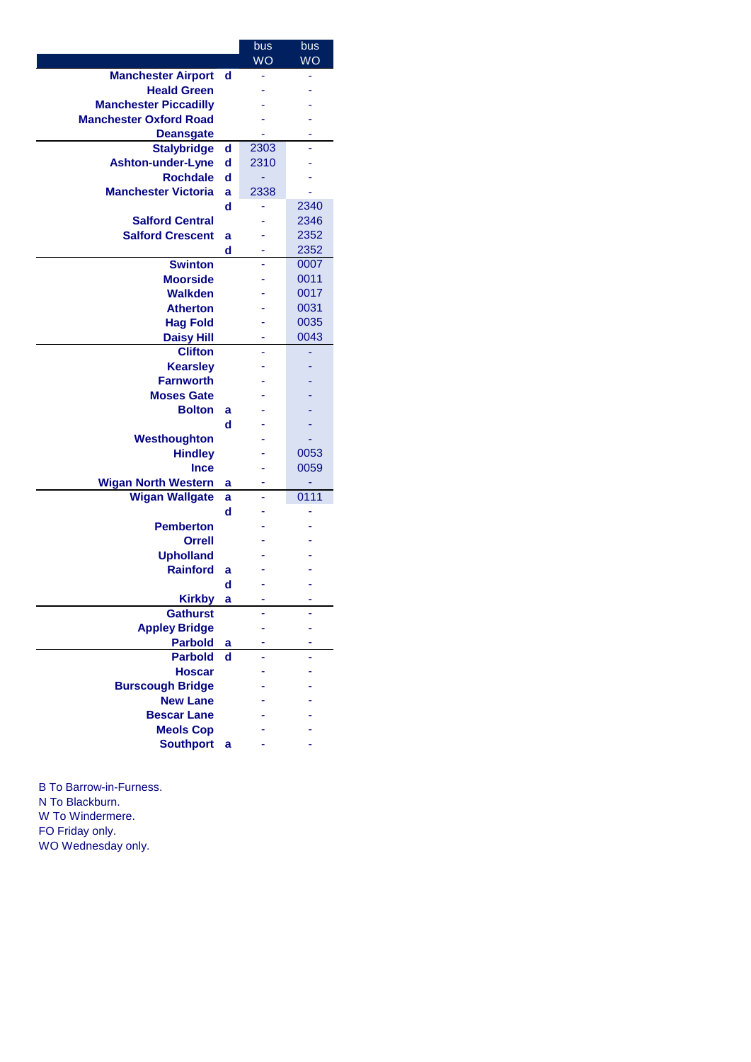|                                                     |        | bus<br><b>WO</b> | bus<br><b>WO</b> |
|-----------------------------------------------------|--------|------------------|------------------|
| <b>Manchester Airport</b>                           | d      | ۰                |                  |
| <b>Heald Green</b>                                  |        |                  |                  |
| <b>Manchester Piccadilly</b>                        |        |                  |                  |
| <b>Manchester Oxford Road</b>                       |        |                  |                  |
| <b>Deansgate</b>                                    |        |                  |                  |
| <b>Stalybridge</b>                                  | d      | 2303             |                  |
| Ashton-under-Lyne                                   | d      | 2310             |                  |
| <b>Rochdale</b>                                     | d      | ÷                |                  |
| <b>Manchester Victoria</b>                          | a      | 2338             |                  |
|                                                     | d      |                  | 2340             |
| <b>Salford Central</b>                              |        |                  | 2346             |
| <b>Salford Crescent</b>                             | a      |                  | 2352             |
|                                                     | d      |                  | 2352             |
| <b>Swinton</b>                                      |        |                  | 0007             |
| <b>Moorside</b>                                     |        |                  | 0011             |
| <b>Walkden</b>                                      |        |                  | 0017             |
| <b>Atherton</b>                                     |        |                  | 0031             |
| <b>Hag Fold</b>                                     |        |                  | 0035             |
| <b>Daisy Hill</b>                                   |        |                  | 0043             |
| <b>Clifton</b>                                      |        |                  |                  |
| <b>Kearsley</b>                                     |        |                  |                  |
| <b>Farnworth</b>                                    |        |                  |                  |
| <b>Moses Gate</b>                                   |        |                  |                  |
| <b>Bolton</b>                                       | a      |                  |                  |
|                                                     | d      |                  |                  |
| Westhoughton                                        |        |                  |                  |
| <b>Hindley</b>                                      |        |                  | 0053             |
| <b>Ince</b>                                         |        |                  | 0059             |
| <b>Wigan North Western</b><br><b>Wigan Wallgate</b> | a<br>a |                  | 0111             |
|                                                     | d      |                  |                  |
| <b>Pemberton</b>                                    |        |                  |                  |
| <b>Orrell</b>                                       |        |                  |                  |
| <b>Upholland</b>                                    |        |                  |                  |
| <b>Rainford</b>                                     | a      |                  |                  |
|                                                     | d      |                  |                  |
| <b>Kirkby</b>                                       | a      |                  |                  |
| <b>Gathurst</b>                                     |        |                  |                  |
| <b>Appley Bridge</b>                                |        |                  |                  |
| <b>Parbold</b>                                      | a      |                  |                  |
| <b>Parbold</b>                                      | d      |                  |                  |
| <b>Hoscar</b>                                       |        |                  |                  |
| <b>Burscough Bridge</b>                             |        |                  |                  |
| <b>New Lane</b>                                     |        |                  |                  |
| <b>Bescar Lane</b>                                  |        |                  |                  |
| <b>Meols Cop</b>                                    |        |                  |                  |
| <b>Southport</b>                                    | a      |                  |                  |
|                                                     |        |                  |                  |

B To Barrow-in-Furness. N To Blackburn. W To Windermere. FO Friday only. WO Wednesday only.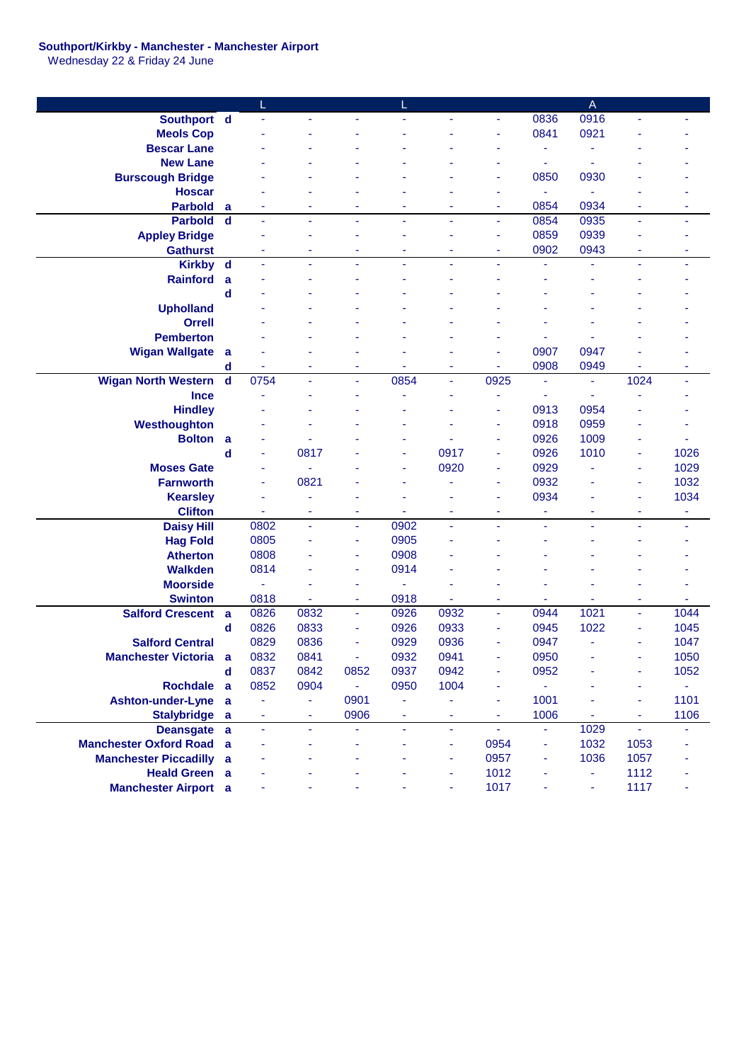## **Southport/Kirkby - Manchester - Manchester Airport**

Wednesday 22 & Friday 24 June

|                                |                |                |      |                |      |                |                |      | A    |                |      |
|--------------------------------|----------------|----------------|------|----------------|------|----------------|----------------|------|------|----------------|------|
| Southport d                    |                |                |      |                |      |                | ä,             | 0836 | 0916 |                |      |
| <b>Meols Cop</b>               |                |                |      |                |      |                |                | 0841 | 0921 |                |      |
| <b>Bescar Lane</b>             |                |                |      |                |      |                |                | ٠    |      |                |      |
| <b>New Lane</b>                |                |                |      |                |      |                |                | ÷    |      |                |      |
| <b>Burscough Bridge</b>        |                |                |      |                |      |                |                | 0850 | 0930 |                |      |
| <b>Hoscar</b>                  |                |                |      |                |      |                |                | Ξ    |      |                |      |
| <b>Parbold</b>                 | a              |                |      |                |      |                |                | 0854 | 0934 |                |      |
| <b>Parbold</b>                 | d              |                |      |                |      | ٠              |                | 0854 | 0935 |                |      |
| <b>Appley Bridge</b>           |                |                |      |                |      |                |                | 0859 | 0939 |                |      |
| <b>Gathurst</b>                |                |                |      |                |      |                | ٠              | 0902 | 0943 | ä,             |      |
| <b>Kirkby</b>                  | $\mathbf d$    |                | ÷    |                | ä,   | ٠              | ٠              |      |      | ä,             |      |
| <b>Rainford</b>                | a              |                |      |                |      |                |                |      |      |                |      |
|                                | d              |                |      |                |      |                |                |      |      |                |      |
| <b>Upholland</b>               |                |                |      |                |      |                |                |      |      |                |      |
| <b>Orrell</b>                  |                |                |      |                |      |                |                |      |      |                |      |
| <b>Pemberton</b>               |                |                |      |                |      |                |                |      |      |                |      |
| <b>Wigan Wallgate</b>          | a              |                |      |                |      |                |                | 0907 | 0947 |                |      |
|                                | d              |                |      |                |      |                |                | 0908 | 0949 |                |      |
| <b>Wigan North Western</b>     | $\mathbf d$    | 0754           | ä,   | ä,             | 0854 | ä,             | 0925           | ä,   | ÷    | 1024           | ä,   |
| <b>Ince</b>                    |                |                |      |                |      |                |                | ÷    |      |                |      |
| <b>Hindley</b>                 |                |                |      |                |      |                |                | 0913 | 0954 |                |      |
| Westhoughton                   |                |                |      |                |      |                |                | 0918 | 0959 |                |      |
| <b>Bolton</b>                  | a              |                |      |                |      |                |                | 0926 | 1009 | L              |      |
|                                | d              | ä              | 0817 |                | L    | 0917           | ä,             | 0926 | 1010 | ٠              | 1026 |
| <b>Moses Gate</b>              |                |                |      |                | ۳    | 0920           | ٠              | 0929 |      | ä,             | 1029 |
| <b>Farnworth</b>               |                |                | 0821 |                |      |                | ٠              | 0932 |      | í,             | 1032 |
| <b>Kearsley</b>                |                |                |      |                |      |                |                | 0934 |      | ä,             | 1034 |
| <b>Clifton</b>                 |                | ٠              | ٠    | ۰              | ٠    | ٠              | ٠              | ۰    | ٠    | ٠              | ٠    |
| <b>Daisy Hill</b>              |                | 0802           | ä,   | ä,             | 0902 | ä,             | ä,             | ä,   |      | ä,             | ä,   |
| <b>Hag Fold</b>                |                | 0805           |      |                | 0905 |                |                |      |      |                |      |
| <b>Atherton</b>                |                | 0808           |      |                | 0908 |                |                |      |      |                |      |
| <b>Walkden</b>                 |                | 0814           |      |                | 0914 |                |                |      |      |                |      |
| <b>Moorside</b>                |                |                |      |                |      |                |                |      |      |                |      |
| <b>Swinton</b>                 |                | 0818           |      | ۰              | 0918 |                |                |      |      |                |      |
| <b>Salford Crescent</b>        | a              | 0826           | 0832 | $\blacksquare$ | 0926 | 0932           | ÷,             | 0944 | 1021 | ä,             | 1044 |
|                                | d              | 0826           | 0833 |                | 0926 | 0933           |                | 0945 | 1022 |                | 1045 |
| <b>Salford Central</b>         |                | 0829           | 0836 |                | 0929 | 0936           |                | 0947 | ٠    |                | 1047 |
| <b>Manchester Victoria</b>     | a              | 0832           | 0841 |                | 0932 | 0941           |                | 0950 |      |                | 1050 |
|                                | d              | 0837           | 0842 | 0852           | 0937 | 0942           | ٠              | 0952 |      | ۰              | 1052 |
| Rochdale a                     |                | 0852           | 0904 | $\sim$         | 0950 | 1004           | ä,             | ÷.   |      | Ξ              | ÷.   |
| Ashton-under-Lyne              | a              | ä,             | ÷    | 0901           | ÷    |                | ÷              | 1001 |      | ٠              | 1101 |
| <b>Stalybridge</b>             | $\overline{a}$ | ٠              | ٠    | 0906           | ۳    | ٠              | ٠              | 1006 | ٠    | ٠              | 1106 |
| Deansgate a                    |                | $\blacksquare$ | Ξ    | ä,             | Ξ    | $\blacksquare$ | $\blacksquare$ | ÷    | 1029 | $\blacksquare$ |      |
| <b>Manchester Oxford Road</b>  | a              |                |      |                |      | ٠              | 0954           | ۰    | 1032 | 1053           |      |
| <b>Manchester Piccadilly a</b> |                |                |      |                |      | ÷              | 0957           | ۰    | 1036 | 1057           |      |
| <b>Heald Green</b> a           |                |                |      |                |      | ÷              | 1012           |      | ٠    | 1112           |      |
| <b>Manchester Airport</b> a    |                |                |      |                |      | ÷              | 1017           |      | ÷    | 1117           |      |
|                                |                |                |      |                |      |                |                |      |      |                |      |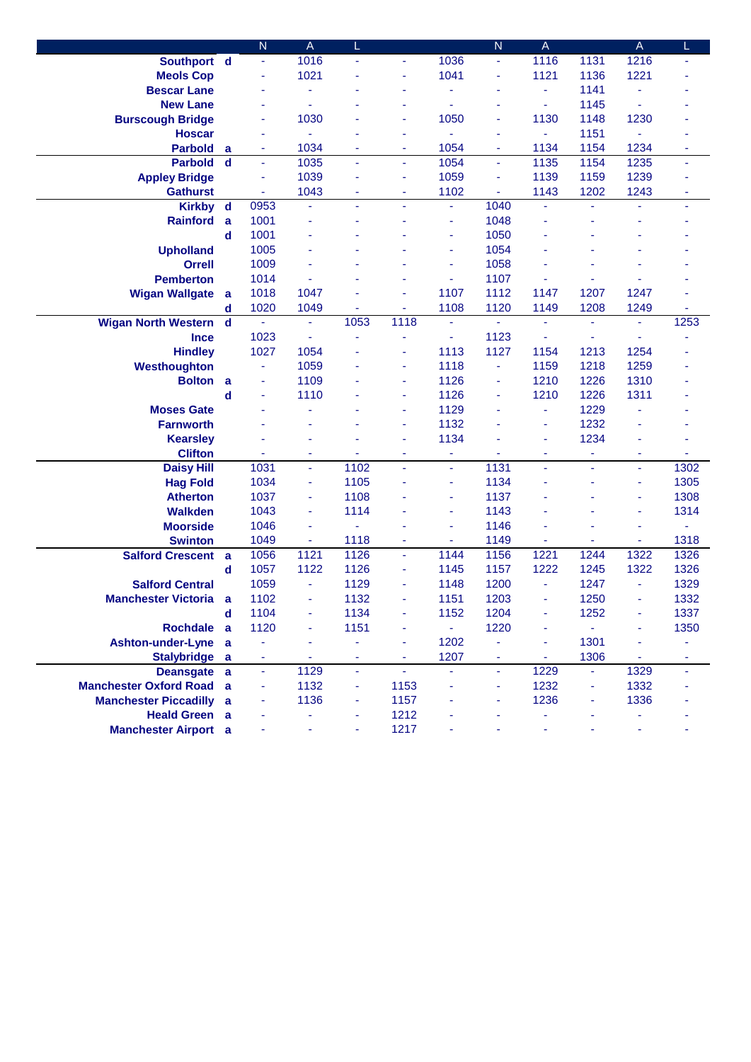|                               |             | $\overline{\mathsf{N}}$  | A    |                |                          |                | $\overline{N}$ | A                        |                | $\mathsf A$ |                |
|-------------------------------|-------------|--------------------------|------|----------------|--------------------------|----------------|----------------|--------------------------|----------------|-------------|----------------|
| Southport d                   |             | $\omega$                 | 1016 | ä,             | ÷                        | 1036           | Ξ              | 1116                     | 1131           | 1216        | ä,             |
| <b>Meols Cop</b>              |             | ä,                       | 1021 |                |                          | 1041           | ٠              | 1121                     | 1136           | 1221        |                |
| <b>Bescar Lane</b>            |             | ÷                        |      |                |                          | ä,             |                | ä,                       | 1141           | ÷,          |                |
| <b>New Lane</b>               |             | ä,                       | ä,   |                |                          |                |                | ä,                       | 1145           | ä,          |                |
| <b>Burscough Bridge</b>       |             | ۰                        | 1030 |                |                          | 1050           |                | 1130                     | 1148           | 1230        |                |
| <b>Hoscar</b>                 |             | ÷                        |      |                | ٠                        |                | ٠              | ÷                        | 1151           | ä,          |                |
| <b>Parbold</b>                | a           | ٠                        | 1034 |                | ÷                        | 1054           | ٠              | 1134                     | 1154           | 1234        | ٠              |
| <b>Parbold</b>                | $\mathbf d$ | $\omega$                 | 1035 | ä,             | $\blacksquare$           | 1054           | ä,             | 1135                     | 1154           | 1235        | Ξ              |
| <b>Appley Bridge</b>          |             | ä,                       | 1039 |                | ÷                        | 1059           |                | 1139                     | 1159           | 1239        |                |
| <b>Gathurst</b>               |             | ä,                       | 1043 |                |                          | 1102           |                | 1143                     | 1202           | 1243        | ٠              |
| <b>Kirkby</b>                 | $\mathbf d$ | 0953                     | ä,   |                |                          | ä,             | 1040           | ä,                       |                |             | $\blacksquare$ |
| <b>Rainford</b>               | a           | 1001                     | ä,   |                |                          | ä,             | 1048           | ä,                       |                |             |                |
|                               | $\mathbf d$ | 1001                     |      |                |                          | ÷              | 1050           |                          |                |             |                |
| <b>Upholland</b>              |             | 1005                     |      |                |                          | ÷              | 1054           |                          |                |             |                |
| <b>Orrell</b>                 |             | 1009                     |      |                |                          | $\blacksquare$ | 1058           |                          |                |             |                |
| <b>Pemberton</b>              |             | 1014                     |      |                |                          | ä,             | 1107           | ÷                        |                |             |                |
| <b>Wigan Wallgate</b>         | a           | 1018                     | 1047 |                |                          | 1107           | 1112           | 1147                     | 1207           | 1247        |                |
|                               | d           | 1020                     | 1049 | ٠              | ٠                        | 1108           | 1120           | 1149                     | 1208           | 1249        | ٠              |
| <b>Wigan North Western</b>    | $\mathbf d$ | $\omega$                 | ÷,   | 1053           | 1118                     | ä,             | ÷.             | ä,                       | $\blacksquare$ | ÷,          | 1253           |
| <b>Ince</b>                   |             | 1023                     |      |                |                          | ÷              | 1123           | ä,                       |                | ä,          |                |
| <b>Hindley</b>                |             | 1027                     | 1054 |                |                          | 1113           | 1127           | 1154                     | 1213           | 1254        |                |
| Westhoughton                  |             | ÷,                       | 1059 |                |                          | 1118           | ä,             | 1159                     | 1218           | 1259        |                |
| <b>Bolton</b>                 | a           |                          | 1109 |                | ÷                        | 1126           |                | 1210                     | 1226           | 1310        |                |
|                               | d           | ÷                        | 1110 |                |                          | 1126           |                | 1210                     | 1226           | 1311        |                |
| <b>Moses Gate</b>             |             |                          |      |                | ÷                        | 1129           |                | $\overline{\phantom{a}}$ | 1229           |             |                |
| <b>Farnworth</b>              |             |                          |      |                | ٠                        | 1132           |                | ä,                       | 1232           |             |                |
| <b>Kearsley</b>               |             |                          | ۳    |                | ÷                        | 1134           |                | ä,                       | 1234           | ä,          |                |
| <b>Clifton</b>                |             |                          | ä,   |                | ä,                       | ÷              |                | ä,                       | ۰              | ä,          |                |
| <b>Daisy Hill</b>             |             | 1031                     | ä,   | 1102           | ÷.                       | Ξ              | 1131           | ä,                       | ä,             | ä,          | 1302           |
| <b>Hag Fold</b>               |             | 1034                     | Ξ    | 1105           |                          | ٠              | 1134           | ÷                        | ٠              | ä,          | 1305           |
| <b>Atherton</b>               |             | 1037                     | ÷    | 1108           |                          | ٠              | 1137           |                          |                | ä,          | 1308           |
| <b>Walkden</b>                |             | 1043                     | ÷    | 1114           |                          | ÷              | 1143           |                          |                | ÷           | 1314           |
| <b>Moorside</b>               |             | 1046                     | ä,   |                |                          | ÷              | 1146           |                          |                | ÷           |                |
| <b>Swinton</b>                |             | 1049                     | ä,   | 1118           |                          | ä,             | 1149           | ä,                       |                | ä,          | 1318           |
| <b>Salford Crescent</b>       | a           | 1056                     | 1121 | 1126           | $\overline{\phantom{a}}$ | 1144           | 1156           | 1221                     | 1244           | 1322        | 1326           |
|                               | d           | 1057                     | 1122 | 1126           | ä,                       | 1145           | 1157           | 1222                     | 1245           | 1322        | 1326           |
| <b>Salford Central</b>        |             | 1059                     | ä,   | 1129           |                          | 1148           | 1200           | ä,                       | 1247           | ä,          | 1329           |
| <b>Manchester Victoria</b>    | a           | 1102                     | ä,   | 1132           |                          | 1151           | 1203           | ä,                       | 1250           | ä,          | 1332           |
|                               | $\mathbf d$ | 1104                     | Ξ    | 1134           | ÷                        | 1152           | 1204           | ä,                       | 1252           | ä,          | 1337           |
| Rochdale a                    |             | 1120                     | ä,   | 1151           | ä,                       | ä,             | 1220           | ä,                       | ÷.             | ä,          | 1350           |
| <b>Ashton-under-Lyne</b>      | a           | ۰                        | ÷    | ÷              | $\blacksquare$           | 1202           | ÷,             | ÷                        | 1301           | ä,          | ÷,             |
| <b>Stalybridge</b>            | a           | $\overline{\phantom{a}}$ | Ξ    | Ξ              | $\blacksquare$           | 1207           | ÷              | $\blacksquare$           | 1306           | $\omega$    | ٠              |
| <b>Deansgate</b>              | a           | ä,                       | 1129 | $\blacksquare$ | $\equiv$                 | ä,             | ä,             | 1229                     | Ξ              | 1329        | Ξ              |
| <b>Manchester Oxford Road</b> | a           | ٠                        | 1132 | ٠              | 1153                     | ä,             | ÷              | 1232                     | ٠              | 1332        |                |
| <b>Manchester Piccadilly</b>  | a           | ۰                        | 1136 | ÷              | 1157                     |                | ÷              | 1236                     | ۰              | 1336        |                |
| <b>Heald Green a</b>          |             |                          | ۰    | ÷              | 1212                     |                |                |                          |                | ۰           |                |
| <b>Manchester Airport</b> a   |             | ä,                       | ä,   | ÷              | 1217                     |                |                | ÷                        | ÷              | Ξ           |                |
|                               |             |                          |      |                |                          |                |                |                          |                |             |                |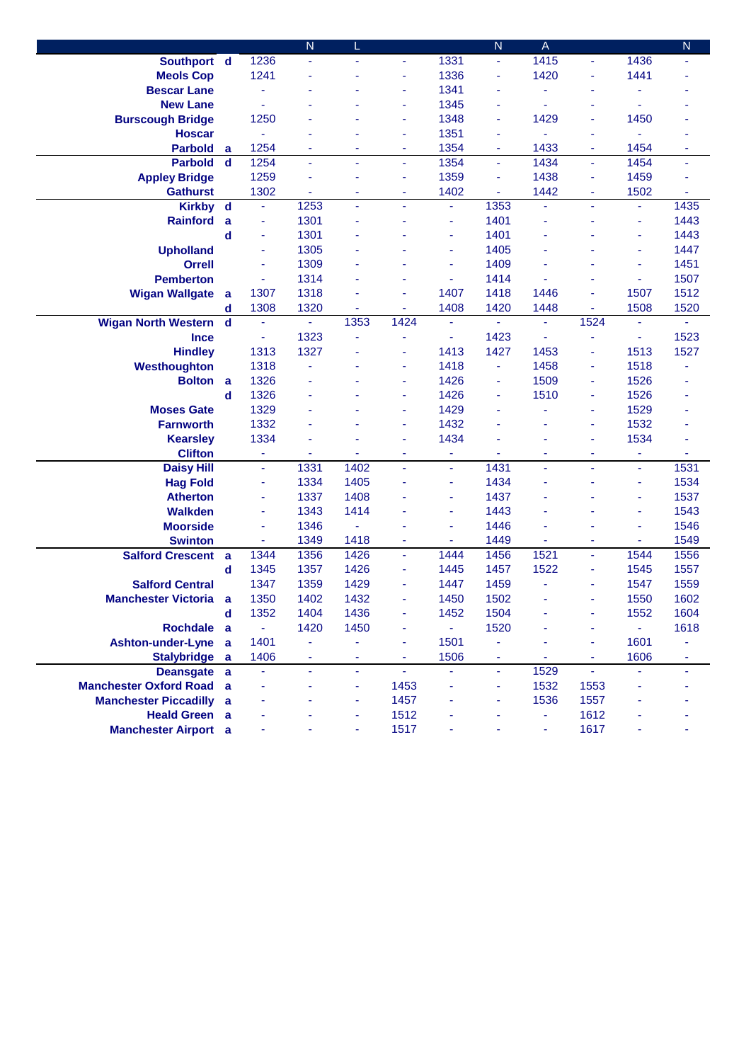|                                                               |                  |                | N              | L                   |                          |                | $\overline{N}$ | $\mathsf A$ |                |                  | $\mathsf{N}$   |
|---------------------------------------------------------------|------------------|----------------|----------------|---------------------|--------------------------|----------------|----------------|-------------|----------------|------------------|----------------|
| Southport d                                                   |                  | 1236           | ä,             | ä,                  | ÷                        | 1331           | Ξ              | 1415        | Ξ              | 1436             | ٠              |
| <b>Meols Cop</b>                                              |                  | 1241           | ä,             |                     | $\blacksquare$           | 1336           | ä,             | 1420        | ä,             | 1441             |                |
| <b>Bescar Lane</b>                                            |                  | ä,             |                |                     | ÷                        | 1341           |                | ä,          | ä              | ä,               |                |
| <b>New Lane</b>                                               |                  | ä              |                |                     |                          | 1345           |                | ä,          |                | ä,               |                |
| <b>Burscough Bridge</b>                                       |                  | 1250           |                |                     | $\blacksquare$           | 1348           | ä,             | 1429        | ä,             | 1450             |                |
| <b>Hoscar</b>                                                 |                  | ÷,             | ٠              |                     | $\blacksquare$           | 1351           |                | ä,          | ٠              | ä,               |                |
| <b>Parbold</b>                                                | a                | 1254           | ۰              | ٠                   | ٠                        | 1354           | ۰              | 1433        | ٠              | 1454             | ٠              |
| <b>Parbold</b>                                                | d                | 1254           | $\blacksquare$ | ٠                   | $\overline{\phantom{a}}$ | 1354           | ä,             | 1434        | $\blacksquare$ | 1454             | $\blacksquare$ |
| <b>Appley Bridge</b>                                          |                  | 1259           | ä,             |                     | $\blacksquare$           | 1359           | ä,             | 1438        | ÷              | 1459             |                |
| <b>Gathurst</b>                                               |                  | 1302           | ä,             | ä,                  | ä,                       | 1402           |                | 1442        | Ξ              | 1502             |                |
| <b>Kirkby</b>                                                 | $\mathbf d$      | $\omega$       | 1253           | ä,                  | ÷.                       | ä,             | 1353           | ä,          | ÷,             | $\blacksquare$   | 1435           |
| <b>Rainford</b>                                               | a                | ÷              | 1301           |                     |                          | ÷              | 1401           | ä,          | ٠              | ä,               | 1443           |
|                                                               | $\mathbf d$      | ä,             | 1301           |                     |                          | ä,             | 1401           | ä,          |                | ä,               | 1443           |
| <b>Upholland</b>                                              |                  | ä,             | 1305           |                     |                          | ä,             | 1405           |             |                | ä,               | 1447           |
| <b>Orrell</b>                                                 |                  | ä,             | 1309           |                     |                          | $\blacksquare$ | 1409           |             |                | ä,               | 1451           |
| <b>Pemberton</b>                                              |                  | $\blacksquare$ | 1314           |                     |                          | ä,             | 1414           | ä,          |                | $\blacksquare$   | 1507           |
| <b>Wigan Wallgate</b>                                         | a                | 1307           | 1318           |                     |                          | 1407           | 1418           | 1446        |                | 1507             | 1512           |
|                                                               | d                | 1308           | 1320           | $\blacksquare$      | $\overline{\phantom{a}}$ | 1408           | 1420           | 1448        | ۰              | 1508             | 1520           |
| <b>Wigan North Western</b>                                    | $\mathbf d$      | ä,             |                | 1353                | 1424                     |                |                | ä,          | 1524           | $\omega$         | ä,             |
| <b>Ince</b>                                                   |                  | $\blacksquare$ | 1323           | ä,                  | ä,                       | ۰              | 1423           | ä,          |                | ٠                | 1523           |
| <b>Hindley</b>                                                |                  | 1313           | 1327           |                     | ÷                        | 1413           | 1427           | 1453        | ÷              | 1513             | 1527           |
| Westhoughton                                                  |                  | 1318           |                |                     | ÷                        | 1418           | ä,             | 1458        | ÷              | 1518             |                |
| <b>Bolton</b>                                                 |                  | 1326           |                |                     |                          | 1426           |                | 1509        | ÷              | 1526             |                |
|                                                               | a<br>$\mathbf d$ | 1326           |                |                     | ٠                        | 1426           |                | 1510        | ÷              | 1526             |                |
| <b>Moses Gate</b>                                             |                  | 1329           |                |                     | ٠                        | 1429           |                |             | ٠              | 1529             |                |
| <b>Farnworth</b>                                              |                  | 1332           |                |                     | ÷                        | 1432           |                |             | ä,             | 1532             |                |
|                                                               |                  | 1334           | L              |                     | $\blacksquare$           | 1434           |                |             | ÷              | 1534             |                |
| <b>Kearsley</b>                                               |                  | ä,             | ä,             |                     | $\blacksquare$           |                |                |             |                |                  |                |
| <b>Clifton</b>                                                |                  | ä,             | 1331           | 1402                | $\blacksquare$           | ÷<br>ä,        | 1431           | ٠<br>ä,     | ٠<br>÷.        | ÷<br>ä,          | 1531           |
| <b>Daisy Hill</b>                                             |                  | ٠              | 1334           | 1405                |                          | ٠              | 1434           | ÷           |                | ä,               | 1534           |
| <b>Hag Fold</b><br><b>Atherton</b>                            |                  | ÷              | 1337           | 1408                |                          | ٠              | 1437           | ÷           |                | ä,               | 1537           |
| <b>Walkden</b>                                                |                  | ÷,             | 1343           | 1414                |                          | ÷              | 1443           | ÷           |                | ä,               | 1543           |
|                                                               |                  | ÷              | 1346           | ä,                  |                          | ÷              | 1446           |             |                | ä,               | 1546           |
| <b>Moorside</b><br><b>Swinton</b>                             |                  | ÷              | 1349           | 1418                | $\blacksquare$           | ÷              | 1449           | ÷           | ٠              | ÷                | 1549           |
| <b>Salford Crescent</b>                                       |                  | 1344           | 1356           | 1426                | $\blacksquare$           | 1444           | 1456           | 1521        | ä,             | 1544             | 1556           |
|                                                               | a<br>d           | 1345           | 1357           | 1426                | ä,                       | 1445           | 1457           | 1522        | ÷              | 1545             | 1557           |
| <b>Salford Central</b>                                        |                  | 1347           | 1359           | 1429                |                          | 1447           | 1459           |             | ä,             |                  | 1559           |
| <b>Manchester Victoria</b>                                    | a                | 1350           | 1402           | 1432                |                          | 1450           | 1502           | ä,          | ÷              | 1547<br>1550     | 1602           |
|                                                               | $\mathbf d$      | 1352           | 1404           | 1436                | ä,                       | 1452           |                |             |                |                  |                |
| <b>Rochdale</b>                                               |                  | $\blacksquare$ | 1420           | 1450                | ä,                       | ä,             | 1504<br>1520   |             | ä,<br>ä,       | 1552<br>$\omega$ | 1604<br>1618   |
|                                                               | a                | 1401           |                | ٠                   | ÷                        | 1501           | ÷              |             | Ξ              | 1601             |                |
| <b>Ashton-under-Lyne</b><br>Stalybridge a                     | a                | 1406           | ۳<br>ä,        | ÷,                  | ä,                       | 1506           | ä,             | ÷.          | $\blacksquare$ | 1606             | ۰<br>٠         |
|                                                               |                  | ÷,             | $\omega$       | $\blacksquare$      | ÷.                       | ÷.             | ÷.             | 1529        | ÷.             | ÷,               |                |
| Deansgate a                                                   |                  |                | ÷              |                     | 1453                     | ä,             |                | 1532        | 1553           |                  | ÷              |
| <b>Manchester Oxford Road</b><br><b>Manchester Piccadilly</b> | a                | ÷,<br>۰        |                | $\blacksquare$<br>÷ | 1457                     | ÷              | ÷,<br>Ξ        | 1536        | 1557           |                  |                |
|                                                               | a                |                |                |                     |                          |                |                |             | 1612           |                  |                |
| <b>Heald Green a</b>                                          |                  |                |                | ×,                  | 1512                     |                |                | Ξ           |                |                  |                |
| <b>Manchester Airport</b> a                                   |                  |                |                | ÷                   | 1517                     | ۰              |                | Ξ           | 1617           | ÷                |                |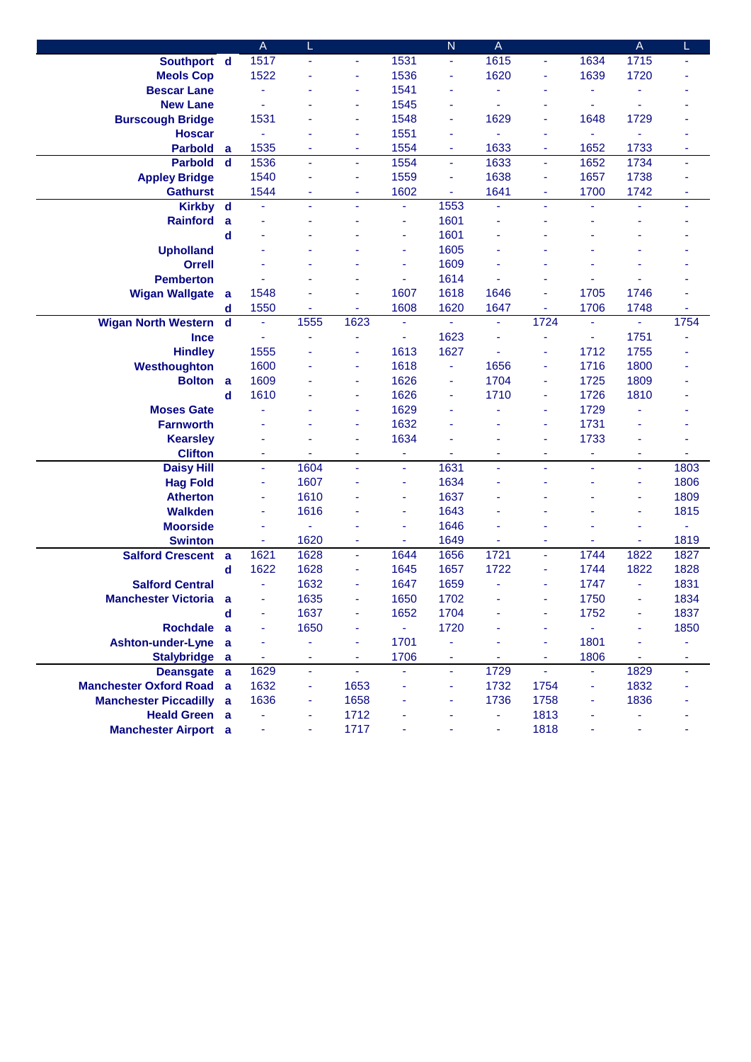|                               |             | $\mathsf A$ | L              |                |                  | $\mathsf{N}$   | $\mathsf A$    |                |      | $\mathsf{A}$   | L    |
|-------------------------------|-------------|-------------|----------------|----------------|------------------|----------------|----------------|----------------|------|----------------|------|
| Southport d                   |             | 1517        | Ξ              | ä,             | 1531             | $\blacksquare$ | 1615           | $\blacksquare$ | 1634 | 1715           | ٠    |
| <b>Meols Cop</b>              |             | 1522        | ä,             | ÷              | 1536             | ä,             | 1620           | ä,             | 1639 | 1720           |      |
| <b>Bescar Lane</b>            |             | ä,          |                | ä,             | 1541             | $\blacksquare$ | ä,             | $\blacksquare$ | ٠    | $\blacksquare$ |      |
| <b>New Lane</b>               |             |             |                | ÷              | 1545             | ÷              |                |                |      |                |      |
| <b>Burscough Bridge</b>       |             | 1531        |                | ÷              | 1548             | ÷              | 1629           | ÷              | 1648 | 1729           |      |
| <b>Hoscar</b>                 |             | ÷,          | ä,             | ÷              | 1551             | ٠              |                | ٠              |      | ä,             |      |
| <b>Parbold</b>                | a           | 1535        | ۰              | ٠              | 1554             | ٠              | 1633           | ۰              | 1652 | 1733           | ۰    |
| <b>Parbold</b>                | $\mathbf d$ | 1536        | ÷              | ٠              | 1554             | ÷              | 1633           | ÷              | 1652 | 1734           | ٠    |
| <b>Appley Bridge</b>          |             | 1540        | ٠              | ÷              | 1559             | ÷              | 1638           | ÷              | 1657 | 1738           |      |
| <b>Gathurst</b>               |             | 1544        | ÷              | ä,             | 1602             | ä,             | 1641           | ÷              | 1700 | 1742           | ÷    |
| <b>Kirkby</b>                 | $\mathbf d$ | ä,          | ä,             | $\blacksquare$ | $\omega$         | 1553           | ä,             | $\blacksquare$ |      | ä,             | ٠    |
| <b>Rainford</b>               | a           |             | ä,             |                | ä,               | 1601           |                |                |      |                |      |
|                               | d           |             |                |                | ä,               | 1601           |                |                |      |                |      |
| <b>Upholland</b>              |             |             |                |                | ä,               | 1605           |                |                |      |                |      |
| <b>Orrell</b>                 |             |             |                |                | ä,               | 1609           |                |                |      |                |      |
| <b>Pemberton</b>              |             |             |                |                | $\blacksquare$   | 1614           |                |                |      |                |      |
| <b>Wigan Wallgate</b>         | a           | 1548        |                | ä,             | 1607             | 1618           | 1646           | ä,             | 1705 | 1746           |      |
|                               | d           | 1550        | ÷              | ٠              | 1608             | 1620           | 1647           | $\blacksquare$ | 1706 | 1748           | ٠    |
| <b>Wigan North Western</b>    | $\mathbf d$ | ä,          | 1555           | 1623           | ä,               |                | ä,             | 1724           |      | ä,             | 1754 |
| <b>Ince</b>                   |             | ä,          | ä,             | ÷              | ä,               | 1623           |                | ÷              |      | 1751           |      |
| <b>Hindley</b>                |             | 1555        |                | ÷              | 1613             | 1627           |                | ä,             | 1712 | 1755           |      |
| Westhoughton                  |             | 1600        |                | ٠              | 1618             | ä,             | 1656           | ×              | 1716 | 1800           |      |
| <b>Bolton</b>                 | a           | 1609        |                | ä,             | 1626             |                | 1704           | ×              | 1725 | 1809           |      |
|                               | d           | 1610        |                | ä,             | 1626             | ÷              | 1710           | ÷              | 1726 | 1810           |      |
| <b>Moses Gate</b>             |             |             |                | ٠              | 1629             | $\sim$         |                | ÷              | 1729 |                |      |
| <b>Farnworth</b>              |             |             |                | ÷              | 1632             |                |                | ä,             | 1731 |                |      |
| <b>Kearsley</b>               |             |             |                | ÷              | 1634             |                |                | ä,             | 1733 |                |      |
| <b>Clifton</b>                |             |             |                | ٠              | ä,               |                |                | ٠              |      | ä,             |      |
| <b>Daisy Hill</b>             |             | ä,          | 1604           | ä,             | $\omega$         | 1631           | ä,             | $\blacksquare$ | ÷    | ä,             | 1803 |
| <b>Hag Fold</b>               |             | ÷           | 1607           |                | ä,               | 1634           |                |                |      | ä,             | 1806 |
| <b>Atherton</b>               |             | ٠           | 1610           |                | ÷                | 1637           |                |                |      | ä,             | 1809 |
| <b>Walkden</b>                |             | ۰           | 1616           |                | ä,               | 1643           |                |                |      | ä,             | 1815 |
| <b>Moorside</b>               |             | ä,          | ۰              |                | ä,               | 1646           |                |                |      | ٠              | ۰    |
| <b>Swinton</b>                |             | ٠           | 1620           | ÷              | Ξ                | 1649           |                | ٠              |      | ÷              | 1819 |
| <b>Salford Crescent</b>       | a           | 1621        | 1628           | Ξ              | 1644             | 1656           | 1721           | ä,             | 1744 | 1822           | 1827 |
|                               | d           | 1622        | 1628           | ÷              | 1645             | 1657           | 1722           | ×              | 1744 | 1822           | 1828 |
| <b>Salford Central</b>        |             | ä,          | 1632           | ÷              | 1647             | 1659           |                | $\blacksquare$ | 1747 | ä,             | 1831 |
| <b>Manchester Victoria</b>    | a           | ٠           | 1635           | ä,             | 1650             | 1702           |                | ÷,             | 1750 | ä,             | 1834 |
|                               | $\mathbf d$ | ٠           | 1637           | ٠              | 1652             | 1704           |                |                | 1752 | ä,             | 1837 |
| <b>Rochdale</b>               | a           | ٠           | 1650           | ä,             | $\omega_{\rm c}$ | 1720           |                |                | ÷.   | ä,             | 1850 |
| <b>Ashton-under-Lyne</b>      | a           | ÷           | Ξ              | ä,             | 1701             | ÷              |                | ÷              | 1801 | $\blacksquare$ | ÷    |
| Stalybridge a                 |             | ä,          | ÷              | Ξ              | 1706             | $\blacksquare$ | $\blacksquare$ | ä,             | 1806 | $\omega$       | ä,   |
| <b>Deansgate</b>              | a           | 1629        | ä,             | $\omega$       | $\omega$         | $\blacksquare$ | 1729           | $\omega$       | ٠    | 1829           | ٠    |
| <b>Manchester Oxford Road</b> | a           | 1632        | $\blacksquare$ | 1653           | ä,               | ٠              | 1732           | 1754           | ٠    | 1832           |      |
| <b>Manchester Piccadilly</b>  | a           | 1636        | ۰              | 1658           | ä,               | ÷              | 1736           | 1758           | ٠    | 1836           |      |
| <b>Heald Green</b> a          |             |             | ۰              | 1712           |                  | ÷              | $\blacksquare$ | 1813           |      | ÷              |      |
| <b>Manchester Airport</b> a   |             |             | ۰              | 1717           |                  |                | ä,             | 1818           |      | ä,             |      |
|                               |             |             |                |                |                  |                |                |                |      |                |      |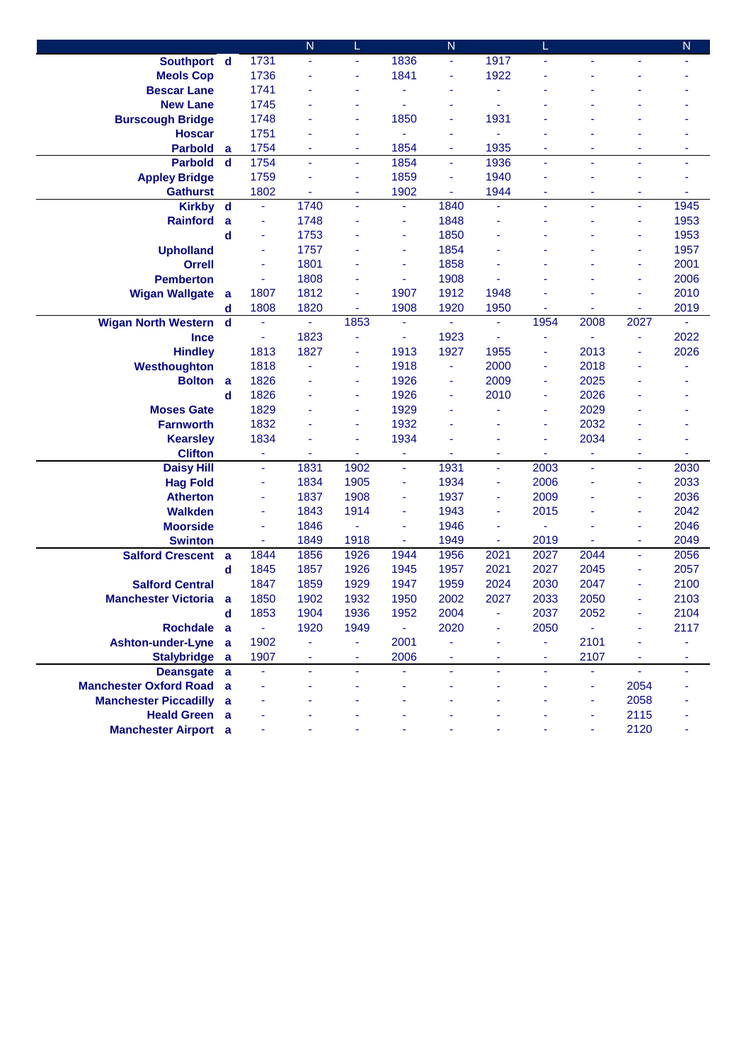|                                                               |                  |                | $\overline{N}$      | L                        |                | ${\sf N}$ |         |              |      |                          | ${\sf N}$      |
|---------------------------------------------------------------|------------------|----------------|---------------------|--------------------------|----------------|-----------|---------|--------------|------|--------------------------|----------------|
| Southport d                                                   |                  | 1731           | $\blacksquare$      | ä,                       | 1836           | ÷         | 1917    | ä,           |      |                          |                |
| <b>Meols Cop</b>                                              |                  | 1736           | ÷                   | ä,                       | 1841           | ä,        | 1922    |              |      |                          |                |
| <b>Bescar Lane</b>                                            |                  | 1741           |                     |                          |                |           |         |              |      |                          |                |
| <b>New Lane</b>                                               |                  | 1745           |                     | $\blacksquare$           | ä,             |           |         |              |      |                          |                |
| <b>Burscough Bridge</b>                                       |                  | 1748           |                     | $\blacksquare$           | 1850           | ۰         | 1931    |              |      |                          |                |
| <b>Hoscar</b>                                                 |                  | 1751           |                     | ٠                        | ä,             | ۰         |         |              |      |                          |                |
| <b>Parbold</b>                                                | a                | 1754           | ۰                   | ٠                        | 1854           | ۰         | 1935    | ۰            |      |                          |                |
| <b>Parbold</b>                                                | $\mathbf d$      | 1754           | ä,                  | ä,                       | 1854           | ÷         | 1936    | ÷            | ä,   | ä,                       | ä,             |
| <b>Appley Bridge</b>                                          |                  | 1759           | ä,                  | ÷                        | 1859           | ä,        | 1940    | ä,           |      |                          |                |
| <b>Gathurst</b>                                               |                  | 1802           |                     | ÷                        | 1902           | ä,        | 1944    | ÷            | ä,   |                          |                |
| <b>Kirkby</b>                                                 | $\mathbf d$      | ÷,             | 1740                | ä,                       | $\blacksquare$ | 1840      | ä,      | ä,           | ٠    |                          | 1945           |
| <b>Rainford</b>                                               | a                | ÷              | 1748                |                          | $\blacksquare$ | 1848      | ä       | ä,           | ä,   | ä,                       | 1953           |
|                                                               | $\mathbf d$      | ä,             | 1753                |                          | $\blacksquare$ | 1850      |         |              |      |                          | 1953           |
| <b>Upholland</b>                                              |                  | ä,             | 1757                |                          | $\blacksquare$ | 1854      |         |              |      | ä,                       | 1957           |
| <b>Orrell</b>                                                 |                  | ä,             | 1801                |                          | $\blacksquare$ | 1858      |         |              |      | ä,                       | 2001           |
| <b>Pemberton</b>                                              |                  | ä,             | 1808                |                          | $\blacksquare$ | 1908      |         |              |      | ä,                       | 2006           |
| <b>Wigan Wallgate</b>                                         | a                | 1807           | 1812                | ÷                        | 1907           | 1912      | 1948    |              |      | ÷                        | 2010           |
|                                                               | d                | 1808           | 1820                | $\overline{\phantom{a}}$ | 1908           | 1920      | 1950    | ä,           |      | ٠                        | 2019           |
| <b>Wigan North Western</b>                                    | $\mathbf d$      | ä,             | $\omega$            | 1853                     | ÷.             | ä,        | ä,      | 1954         | 2008 | 2027                     | ä,             |
| <b>Ince</b>                                                   |                  | ÷              | 1823                | ä,                       | $\blacksquare$ | 1923      |         | ۰            |      | ÷                        | 2022           |
| <b>Hindley</b>                                                |                  | 1813           | 1827                | ÷                        | 1913           | 1927      | 1955    | ٠            | 2013 |                          | 2026           |
| Westhoughton                                                  |                  | 1818           |                     | ÷                        | 1918           | ä,        | 2000    | ٠            | 2018 |                          |                |
| <b>Bolton</b>                                                 | a                | 1826           |                     | ÷                        | 1926           |           | 2009    | ۰            | 2025 |                          |                |
|                                                               | $\mathbf d$      | 1826           |                     | $\blacksquare$           | 1926           |           | 2010    | ÷            | 2026 |                          |                |
| <b>Moses Gate</b>                                             |                  | 1829           |                     | ä,                       | 1929           |           |         | ٠            | 2029 |                          |                |
| <b>Farnworth</b>                                              |                  | 1832           |                     | ä,                       | 1932           |           |         | ä,           | 2032 |                          |                |
|                                                               |                  | 1834           |                     | ÷                        | 1934           |           |         | ä,           | 2034 |                          |                |
| <b>Kearsley</b>                                               |                  | ä,             |                     | ä,                       | ÷              |           | ä       | ä,           |      | ä,                       |                |
| <b>Clifton</b>                                                |                  | ä,             | 1831                | 1902                     | $\omega$       | 1931      | ä,      | 2003         | ä,   | ä,                       | 2030           |
| <b>Daisy Hill</b>                                             |                  | ÷              | 1834                | 1905                     | $\blacksquare$ | 1934      | ÷       | 2006         |      | ä,                       | 2033           |
| <b>Hag Fold</b><br><b>Atherton</b>                            |                  | ÷,             | 1837                | 1908                     | ٠              | 1937      | ÷       | 2009         |      | ä,                       | 2036           |
| <b>Walkden</b>                                                |                  | ä,             | 1843                | 1914                     | ٠              | 1943      | ٠       | 2015         |      | ä,                       | 2042           |
| <b>Moorside</b>                                               |                  | ÷              | 1846                |                          | $\blacksquare$ | 1946      | ÷       |              |      | ٠                        | 2046           |
| <b>Swinton</b>                                                |                  | ä,             | 1849                | 1918                     |                | 1949      | ÷       | 2019         |      | ä,                       | 2049           |
| <b>Salford Crescent</b>                                       |                  | 1844           | 1856                | 1926                     | 1944           | 1956      | 2021    | 2027         | 2044 | $\overline{\phantom{a}}$ | 2056           |
|                                                               | a<br>$\mathbf d$ | 1845           | 1857                | 1926                     | 1945           | 1957      | 2021    | 2027         | 2045 | $\overline{\phantom{a}}$ | 2057           |
| <b>Salford Central</b>                                        |                  | 1847           | 1859                | 1929                     | 1947           | 1959      | 2024    | 2030         | 2047 |                          | 2100           |
| <b>Manchester Victoria</b>                                    | a                | 1850           | 1902                | 1932                     | 1950           | 2002      | 2027    | 2033         | 2050 |                          | 2103           |
|                                                               | $\mathbf d$      | 1853           |                     | 1936                     | 1952           | 2004      |         |              |      |                          |                |
| Rochdale a                                                    |                  | $\blacksquare$ | 1904<br>1920        | 1949                     | $\omega$       | 2020      | ٠<br>٠  | 2037<br>2050 | 2052 |                          | 2104<br>2117   |
|                                                               |                  | 1902           |                     |                          | 2001           |           |         |              | 2101 | ä,                       |                |
| <b>Ashton-under-Lyne</b>                                      | a                | 1907           | ÷<br>$\blacksquare$ | ÷<br>$\blacksquare$      | 2006           | ÷         | ٠<br>ä, | ÷<br>÷       | 2107 | Ξ                        | ÷<br>÷         |
| <b>Stalybridge</b>                                            | a                |                | ä                   | $\blacksquare$           | ä,             | ÷.        | ÷.      | ä,           | Ξ    | $\omega$                 |                |
| <b>Deansgate</b>                                              | $\mathbf{a}$     | ÷<br>ä,        |                     |                          |                |           |         | ä,           |      | 2054                     | $\blacksquare$ |
| <b>Manchester Oxford Road</b><br><b>Manchester Piccadilly</b> | a                |                |                     |                          |                |           |         |              | ٠    | 2058                     |                |
|                                                               | a                |                |                     |                          |                |           |         |              | ٠    |                          |                |
| <b>Heald Green a</b>                                          |                  |                |                     |                          |                |           |         |              | ÷    | 2115                     |                |
| <b>Manchester Airport</b> a                                   |                  |                |                     |                          |                |           |         |              |      | 2120                     |                |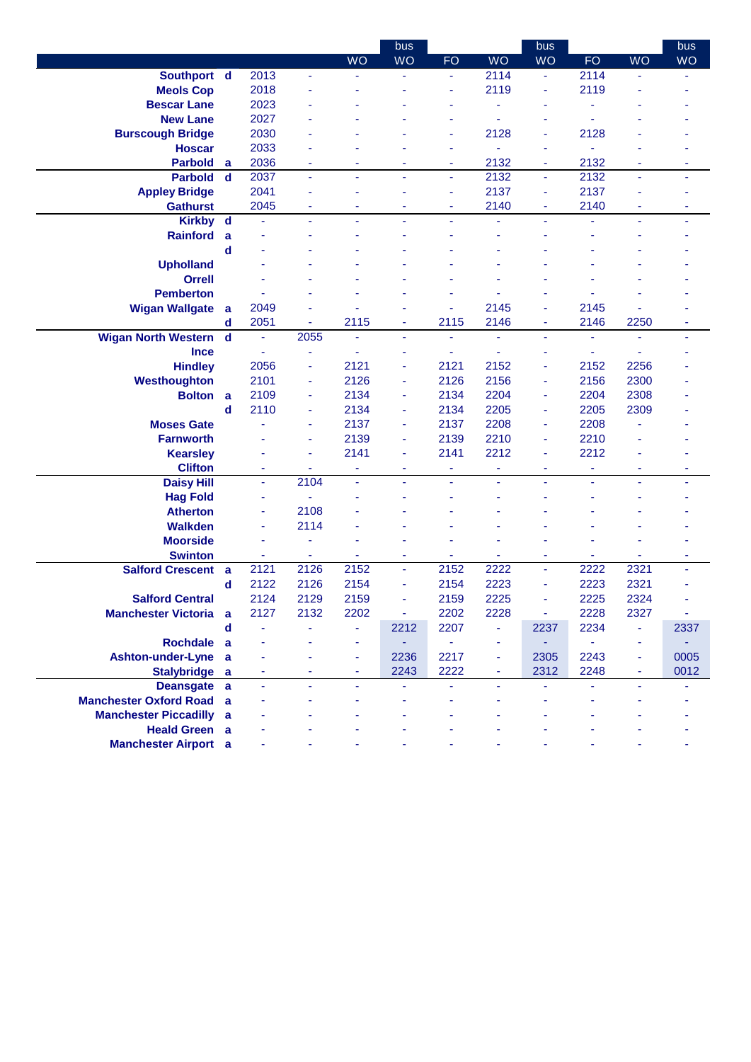|                                 |             |                |                |                | bus                      |           |                | bus                      |                |                          | bus       |
|---------------------------------|-------------|----------------|----------------|----------------|--------------------------|-----------|----------------|--------------------------|----------------|--------------------------|-----------|
|                                 |             |                |                | <b>WO</b>      | <b>WO</b>                | <b>FO</b> | <b>WO</b>      | WQ                       | FO.            | <b>WO</b>                | <b>WO</b> |
| Southport d                     |             | 2013           | ÷.             |                | ÷                        | ٠         | 2114           | ä,                       | 2114           |                          |           |
| <b>Meols Cop</b>                |             | 2018           |                |                |                          | ٠         | 2119           | ä,                       | 2119           |                          |           |
| <b>Bescar Lane</b>              |             | 2023           |                |                |                          |           |                | ۳                        |                |                          |           |
| <b>New Lane</b>                 |             | 2027           |                |                |                          |           | ٠              |                          |                |                          |           |
| <b>Burscough Bridge</b>         |             | 2030           |                |                |                          | ٠         | 2128           | ٠                        | 2128           |                          |           |
| <b>Hoscar</b>                   |             | 2033           |                |                |                          |           |                | ۰                        |                |                          |           |
| <b>Parbold</b>                  | a           | 2036           | ٠              |                |                          | ٠         | 2132           | ۰                        | 2132           |                          | ٠         |
| <b>Parbold</b>                  | $\mathbf d$ | 2037           | $\blacksquare$ | ä,             | ÷                        | ä,        | 2132           | Ξ                        | 2132           | $\blacksquare$           | ä,        |
| <b>Appley Bridge</b>            |             | 2041           |                |                |                          |           | 2137           | ä,                       | 2137           |                          |           |
| <b>Gathurst</b>                 |             | 2045           | ٠              | $\sim$         | ٠                        | ٠         | 2140           | ٠                        | 2140           | ٠                        | ٠         |
| <b>Kirkby</b>                   | $\mathbf d$ | ä,             | ä,             |                |                          | ä,        |                | ÷,                       |                | ä,                       | ä,        |
| <b>Rainford</b>                 | a           |                |                |                |                          |           |                |                          |                |                          |           |
|                                 | d           |                |                |                |                          |           |                |                          |                |                          |           |
| <b>Upholland</b>                |             |                |                |                |                          |           |                |                          |                |                          |           |
| <b>Orrell</b>                   |             |                |                |                |                          |           |                |                          |                |                          |           |
| <b>Pemberton</b>                |             |                |                |                |                          |           |                |                          |                |                          |           |
| <b>Wigan Wallgate</b>           | a           | 2049           |                |                |                          | ٠         | 2145           | ä,                       | 2145           |                          |           |
|                                 | d           | 2051           | ۰              | 2115           | ۰                        | 2115      | 2146           | ۰                        | 2146           | 2250                     | ٠         |
| <b>Wigan North Western</b>      | $\mathbf d$ | ä,             | 2055           | ä,             | $\overline{\phantom{a}}$ | ٠         | ä,             | ٠                        | ٠              | $\blacksquare$           | Ξ         |
| <b>Ince</b>                     |             |                | ä,             |                |                          |           |                | ä,                       |                |                          |           |
| <b>Hindley</b>                  |             | 2056           | ä,             | 2121           |                          | 2121      | 2152           | ä,                       | 2152           | 2256                     |           |
| Westhoughton                    |             | 2101           | ۰              | 2126           |                          | 2126      | 2156           | ۰                        | 2156           | 2300                     |           |
| <b>Bolton</b>                   | a           | 2109           | ä,             | 2134           | ٠                        | 2134      | 2204           | ٠                        | 2204           | 2308                     |           |
|                                 | d           | 2110           | ä,             | 2134           | ÷                        | 2134      | 2205           | ä,                       | 2205           | 2309                     |           |
| <b>Moses Gate</b>               |             | ä,             | ä,             | 2137           | $\overline{\phantom{a}}$ | 2137      | 2208           | ä,                       | 2208           |                          |           |
| <b>Farnworth</b>                |             |                | ä,             | 2139           | $\overline{\phantom{a}}$ | 2139      | 2210           | ä,                       | 2210           |                          |           |
| <b>Kearsley</b>                 |             |                | ä,             | 2141           | $\overline{\phantom{a}}$ | 2141      | 2212           | ä,                       | 2212           |                          |           |
| <b>Clifton</b>                  |             | ÷              | ä,             | ä,             |                          | ÷         | ä,             | ä,                       |                |                          |           |
| <b>Daisy Hill</b>               |             | $\blacksquare$ | 2104           | ä,             | ÷.                       | ٠         | ٠              | ÷,                       | $\blacksquare$ | ٠                        | ٠         |
| <b>Hag Fold</b>                 |             | ۰              |                |                |                          |           |                |                          |                |                          |           |
| <b>Atherton</b>                 |             | ۰              | 2108           |                |                          |           |                |                          |                |                          |           |
| <b>Walkden</b>                  |             | ä,             | 2114           |                |                          |           |                |                          |                |                          |           |
| <b>Moorside</b>                 |             |                |                |                |                          |           |                |                          |                |                          |           |
| <b>Swinton</b>                  |             | ä,             | ä,             |                |                          |           |                | ä,                       |                |                          | ÷         |
| <b>Salford Crescent</b>         | a           | 2121           | 2126           | 2152           | ٠                        | 2152      | 2222           | $\overline{\phantom{a}}$ | 2222           | 2321                     |           |
|                                 | $\mathbf d$ | 2122           | 2126           | 2154           |                          | 2154      | 2223           | ä,                       | 2223           | 2321                     |           |
| <b>Salford Central</b>          |             | 2124           | 2129           | 2159           |                          | 2159      | 2225           | L                        | 2225           | 2324                     |           |
| <b>Manchester Victoria</b>      | a           | 2127           | 2132           | 2202           | $\blacksquare$           | 2202      | 2228           | ÷                        | 2228           | 2327                     | ÷         |
|                                 | $\mathbf d$ | ä,             |                | ÷              | 2212                     | 2207      | $\blacksquare$ | 2237                     | 2234           | $\equiv$                 | 2337      |
| Rochdale a                      |             |                |                | ä,             | ÷.                       | ÷         | ٠              | ۳                        | ä,             | $\overline{\phantom{a}}$ |           |
| <b>Ashton-under-Lyne</b>        | a           |                |                | ä,             | 2236                     | 2217      | ٠              | 2305                     | 2243           | $\blacksquare$           | 0005      |
| <b>Stalybridge</b>              | a           | ٠              | ٠              | $\blacksquare$ | 2243                     | 2222      | $\blacksquare$ | 2312                     | 2248           | $\blacksquare$           | 0012      |
| Deansgate a                     |             | ä,             | ä,             | $\omega$       | ÷                        |           | ÷.             | ä,                       | ä,             | $\blacksquare$           |           |
| <b>Manchester Oxford Road a</b> |             |                |                |                |                          |           |                |                          |                |                          |           |
| <b>Manchester Piccadilly a</b>  |             |                |                |                |                          |           |                |                          |                |                          |           |
| <b>Heald Green</b> a            |             |                |                |                |                          |           |                |                          |                |                          |           |
| <b>Manchester Airport</b> a     |             |                |                |                |                          |           |                |                          |                |                          |           |